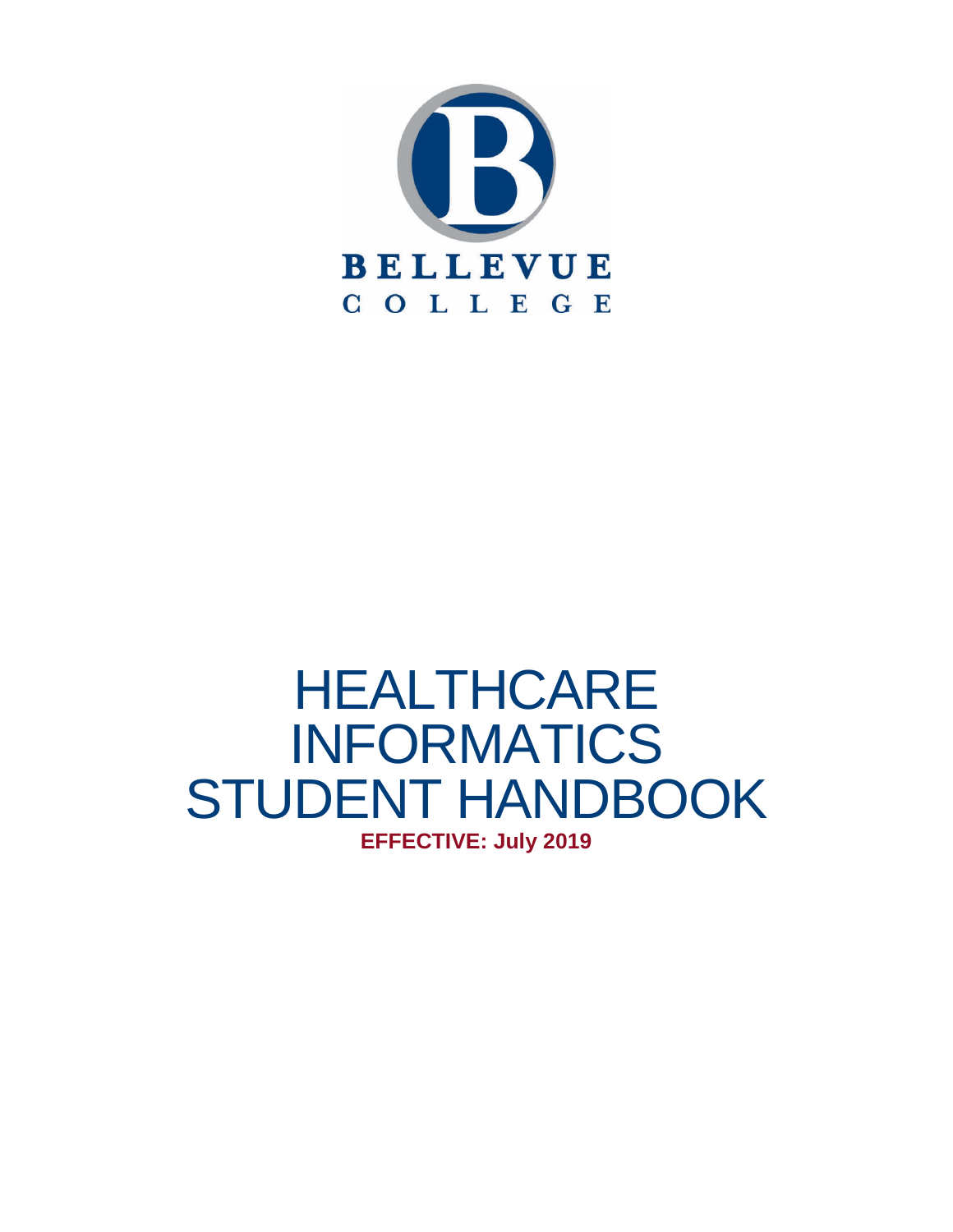

# HEALTHCARE INFORMATICS STUDENT HANDBOOK **EFFECTIVE: July 2019**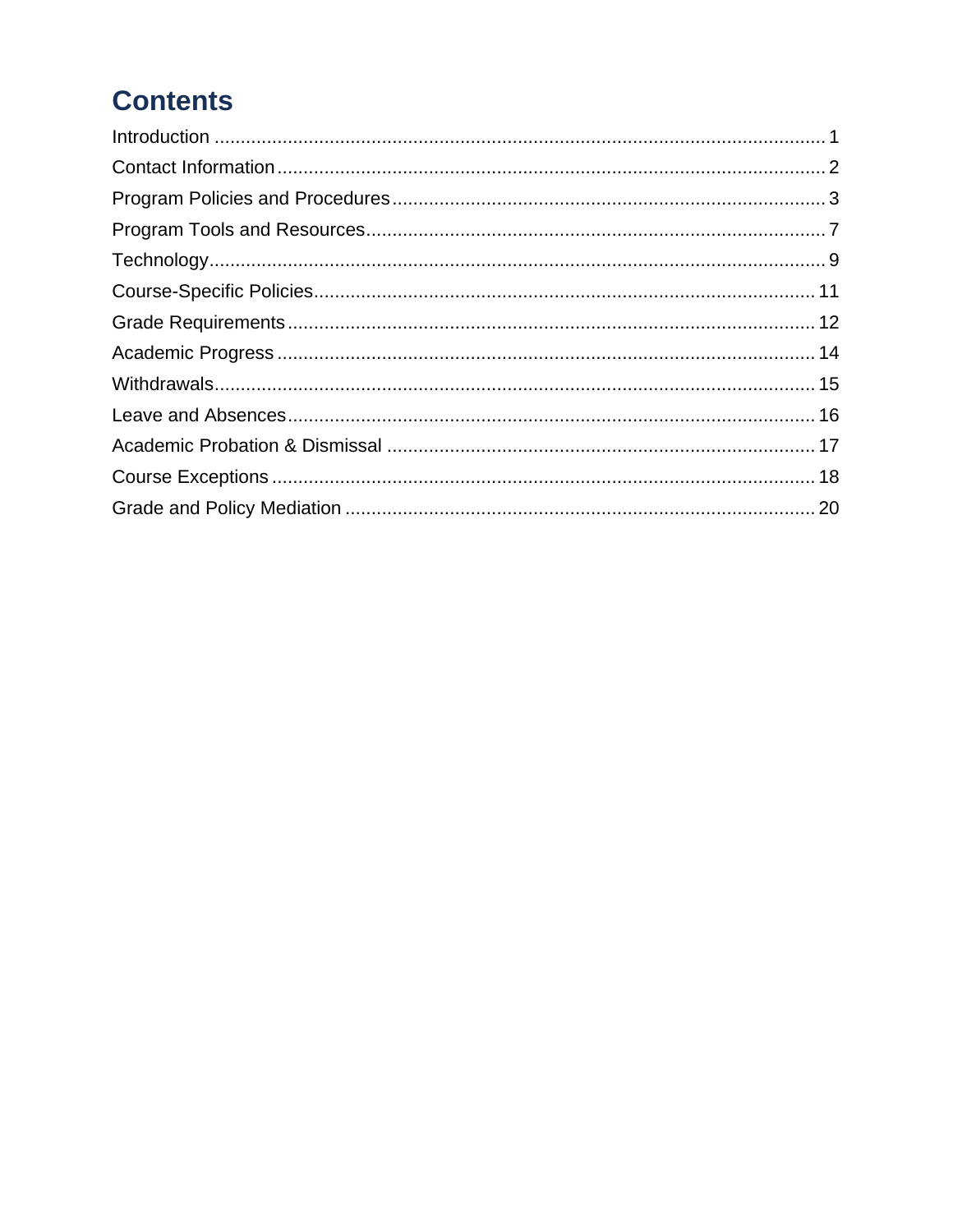# **Contents**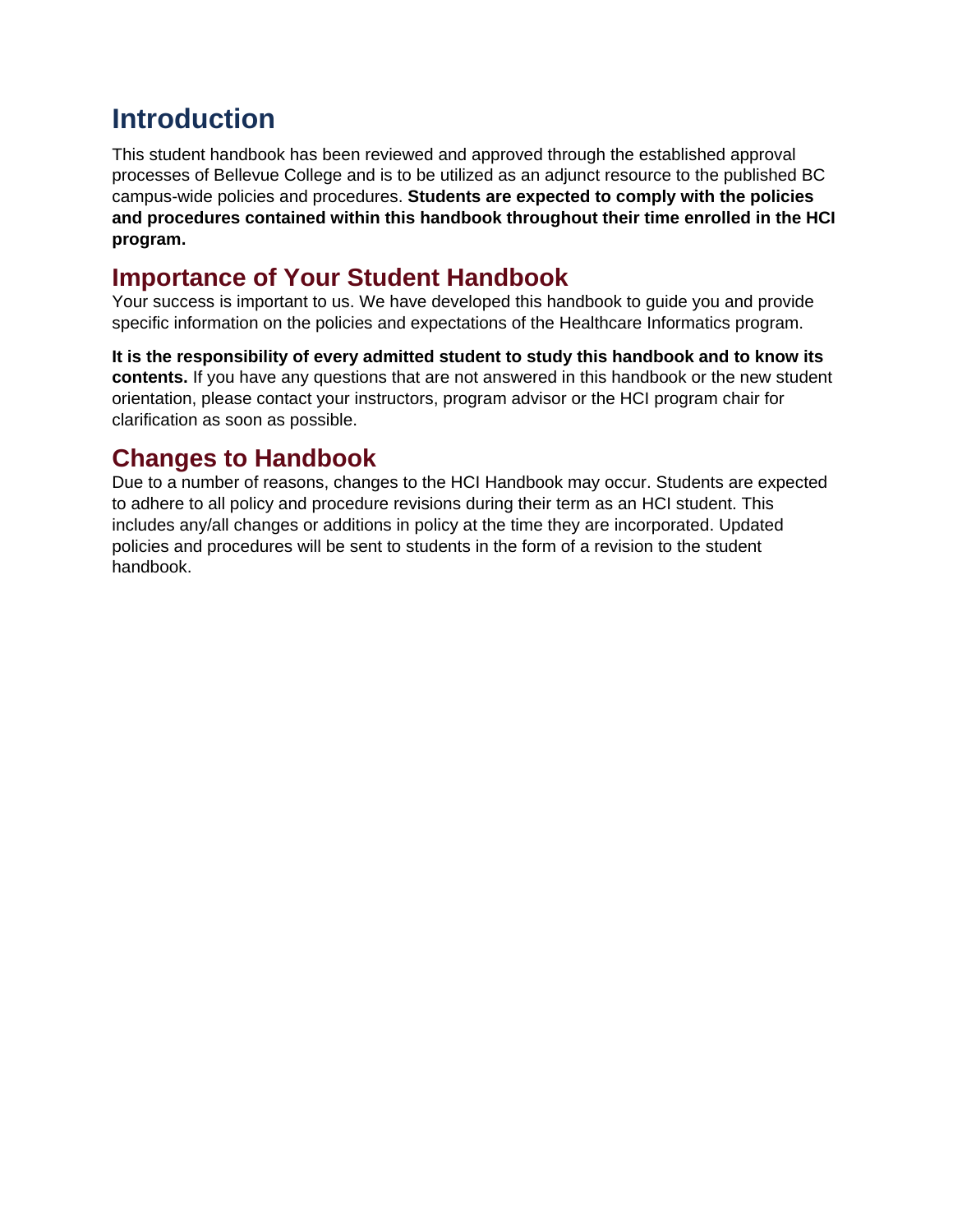# <span id="page-2-0"></span>**Introduction**

This student handbook has been reviewed and approved through the established approval processes of Bellevue College and is to be utilized as an adjunct resource to the published BC campus-wide policies and procedures. **Students are expected to comply with the policies and procedures contained within this handbook throughout their time enrolled in the HCI program.**

#### **Importance of Your Student Handbook**

Your success is important to us. We have developed this handbook to guide you and provide specific information on the policies and expectations of the Healthcare Informatics program.

**It is the responsibility of every admitted student to study this handbook and to know its contents.** If you have any questions that are not answered in this handbook or the new student orientation, please contact your instructors, program advisor or the HCI program chair for clarification as soon as possible.

# **Changes to Handbook**

Due to a number of reasons, changes to the HCI Handbook may occur. Students are expected to adhere to all policy and procedure revisions during their term as an HCI student. This includes any/all changes or additions in policy at the time they are incorporated. Updated policies and procedures will be sent to students in the form of a revision to the student handbook.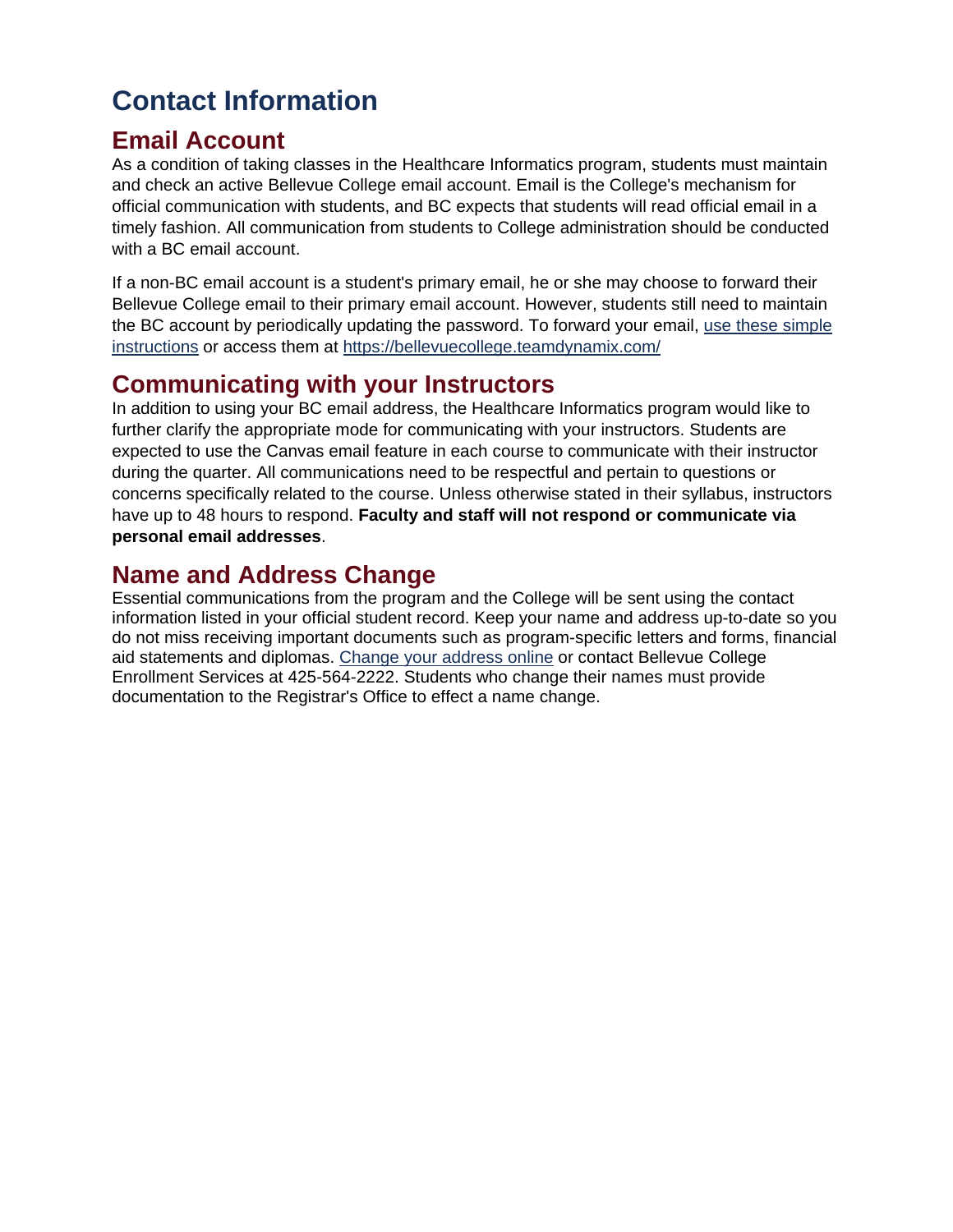# <span id="page-3-0"></span>**Contact Information**

#### **Email Account**

As a condition of taking classes in the Healthcare Informatics program, students must maintain and check an active Bellevue College email account. Email is the College's mechanism for official communication with students, and BC expects that students will read official email in a timely fashion. All communication from students to College administration should be conducted with a BC email account.

If a non-BC email account is a student's primary email, he or she may choose to forward their Bellevue College email to their primary email account. However, students still need to maintain the BC account by periodically updating the password. To forward your email, use [these simple](https://bellevuecollege.teamdynamix.com/TDClient/KB/ArticleDet?ID=24217)  [instructions](https://bellevuecollege.teamdynamix.com/TDClient/KB/ArticleDet?ID=24217) or access them at<https://bellevuecollege.teamdynamix.com/>

#### **Communicating with your Instructors**

In addition to using your BC email address, the Healthcare Informatics program would like to further clarify the appropriate mode for communicating with your instructors. Students are expected to use the Canvas email feature in each course to communicate with their instructor during the quarter. All communications need to be respectful and pertain to questions or concerns specifically related to the course. Unless otherwise stated in their syllabus, instructors have up to 48 hours to respond. **Faculty and staff will not respond or communicate via personal email addresses**.

### **Name and Address Change**

Essential communications from the program and the College will be sent using the contact information listed in your official student record. Keep your name and address up-to-date so you do not miss receiving important documents such as program-specific letters and forms, financial aid statements and diplomas. [Change your address online](https://www.ctc.edu/%7Ebellevue/stuaddr/waci203.html) or contact Bellevue College Enrollment Services at 425-564-2222. Students who change their names must provide documentation to the Registrar's Office to effect a name change.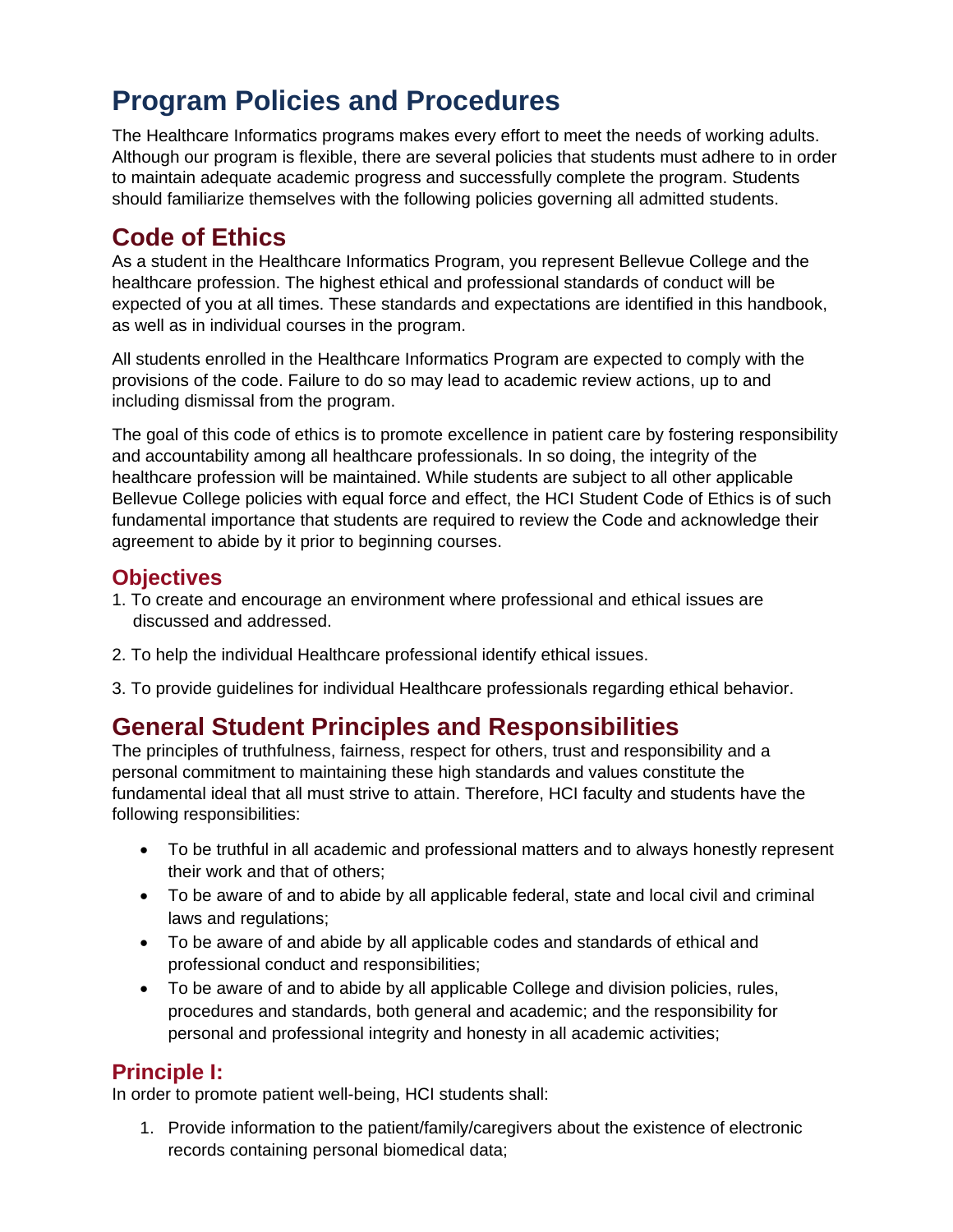# <span id="page-4-0"></span>**Program Policies and Procedures**

The Healthcare Informatics programs makes every effort to meet the needs of working adults. Although our program is flexible, there are several policies that students must adhere to in order to maintain adequate academic progress and successfully complete the program. Students should familiarize themselves with the following policies governing all admitted students.

### **Code of Ethics**

As a student in the Healthcare Informatics Program, you represent Bellevue College and the healthcare profession. The highest ethical and professional standards of conduct will be expected of you at all times. These standards and expectations are identified in this handbook, as well as in individual courses in the program.

All students enrolled in the Healthcare Informatics Program are expected to comply with the provisions of the code. Failure to do so may lead to academic review actions, up to and including dismissal from the program.

The goal of this code of ethics is to promote excellence in patient care by fostering responsibility and accountability among all healthcare professionals. In so doing, the integrity of the healthcare profession will be maintained. While students are subject to all other applicable Bellevue College policies with equal force and effect, the HCI Student Code of Ethics is of such fundamental importance that students are required to review the Code and acknowledge their agreement to abide by it prior to beginning courses.

#### **Objectives**

- 1. To create and encourage an environment where professional and ethical issues are discussed and addressed.
- 2. To help the individual Healthcare professional identify ethical issues.
- 3. To provide guidelines for individual Healthcare professionals regarding ethical behavior.

### **General Student Principles and Responsibilities**

The principles of truthfulness, fairness, respect for others, trust and responsibility and a personal commitment to maintaining these high standards and values constitute the fundamental ideal that all must strive to attain. Therefore, HCI faculty and students have the following responsibilities:

- To be truthful in all academic and professional matters and to always honestly represent their work and that of others;
- To be aware of and to abide by all applicable federal, state and local civil and criminal laws and regulations;
- To be aware of and abide by all applicable codes and standards of ethical and professional conduct and responsibilities;
- To be aware of and to abide by all applicable College and division policies, rules, procedures and standards, both general and academic; and the responsibility for personal and professional integrity and honesty in all academic activities;

#### **Principle I:**

In order to promote patient well-being, HCI students shall:

1. Provide information to the patient/family/caregivers about the existence of electronic records containing personal biomedical data;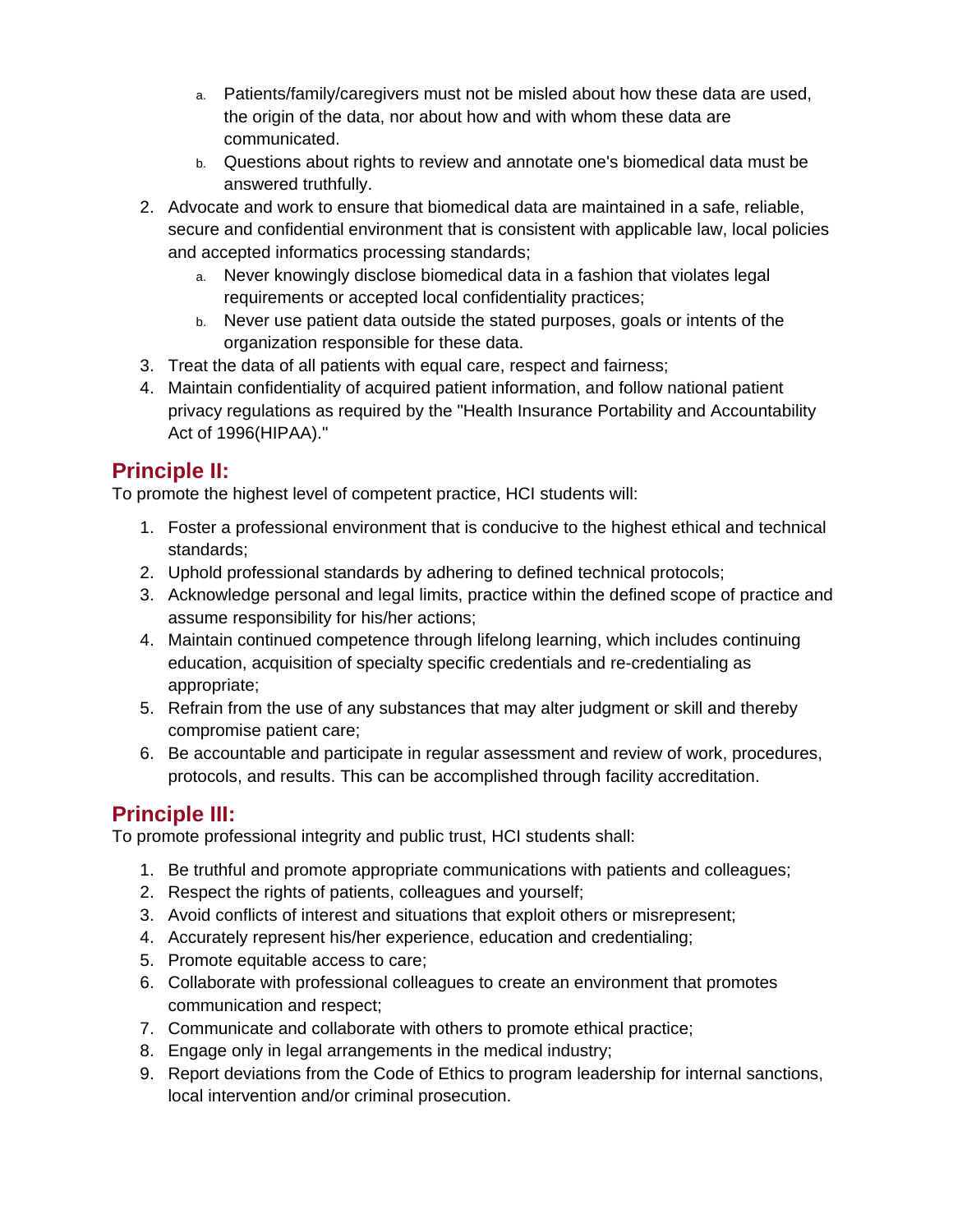- a. Patients/family/caregivers must not be misled about how these data are used, the origin of the data, nor about how and with whom these data are communicated.
- b. Questions about rights to review and annotate one's biomedical data must be answered truthfully.
- 2. Advocate and work to ensure that biomedical data are maintained in a safe, reliable, secure and confidential environment that is consistent with applicable law, local policies and accepted informatics processing standards;
	- a. Never knowingly disclose biomedical data in a fashion that violates legal requirements or accepted local confidentiality practices;
	- b. Never use patient data outside the stated purposes, goals or intents of the organization responsible for these data.
- 3. Treat the data of all patients with equal care, respect and fairness;
- 4. Maintain confidentiality of acquired patient information, and follow national patient privacy regulations as required by the "Health Insurance Portability and Accountability Act of 1996(HIPAA)."

#### **Principle II:**

To promote the highest level of competent practice, HCI students will:

- 1. Foster a professional environment that is conducive to the highest ethical and technical standards;
- 2. Uphold professional standards by adhering to defined technical protocols;
- 3. Acknowledge personal and legal limits, practice within the defined scope of practice and assume responsibility for his/her actions;
- 4. Maintain continued competence through lifelong learning, which includes continuing education, acquisition of specialty specific credentials and re-credentialing as appropriate;
- 5. Refrain from the use of any substances that may alter judgment or skill and thereby compromise patient care;
- 6. Be accountable and participate in regular assessment and review of work, procedures, protocols, and results. This can be accomplished through facility accreditation.

#### **Principle III:**

To promote professional integrity and public trust, HCI students shall:

- 1. Be truthful and promote appropriate communications with patients and colleagues;
- 2. Respect the rights of patients, colleagues and yourself;
- 3. Avoid conflicts of interest and situations that exploit others or misrepresent;
- 4. Accurately represent his/her experience, education and credentialing;
- 5. Promote equitable access to care;
- 6. Collaborate with professional colleagues to create an environment that promotes communication and respect;
- 7. Communicate and collaborate with others to promote ethical practice;
- 8. Engage only in legal arrangements in the medical industry;
- 9. Report deviations from the Code of Ethics to program leadership for internal sanctions, local intervention and/or criminal prosecution.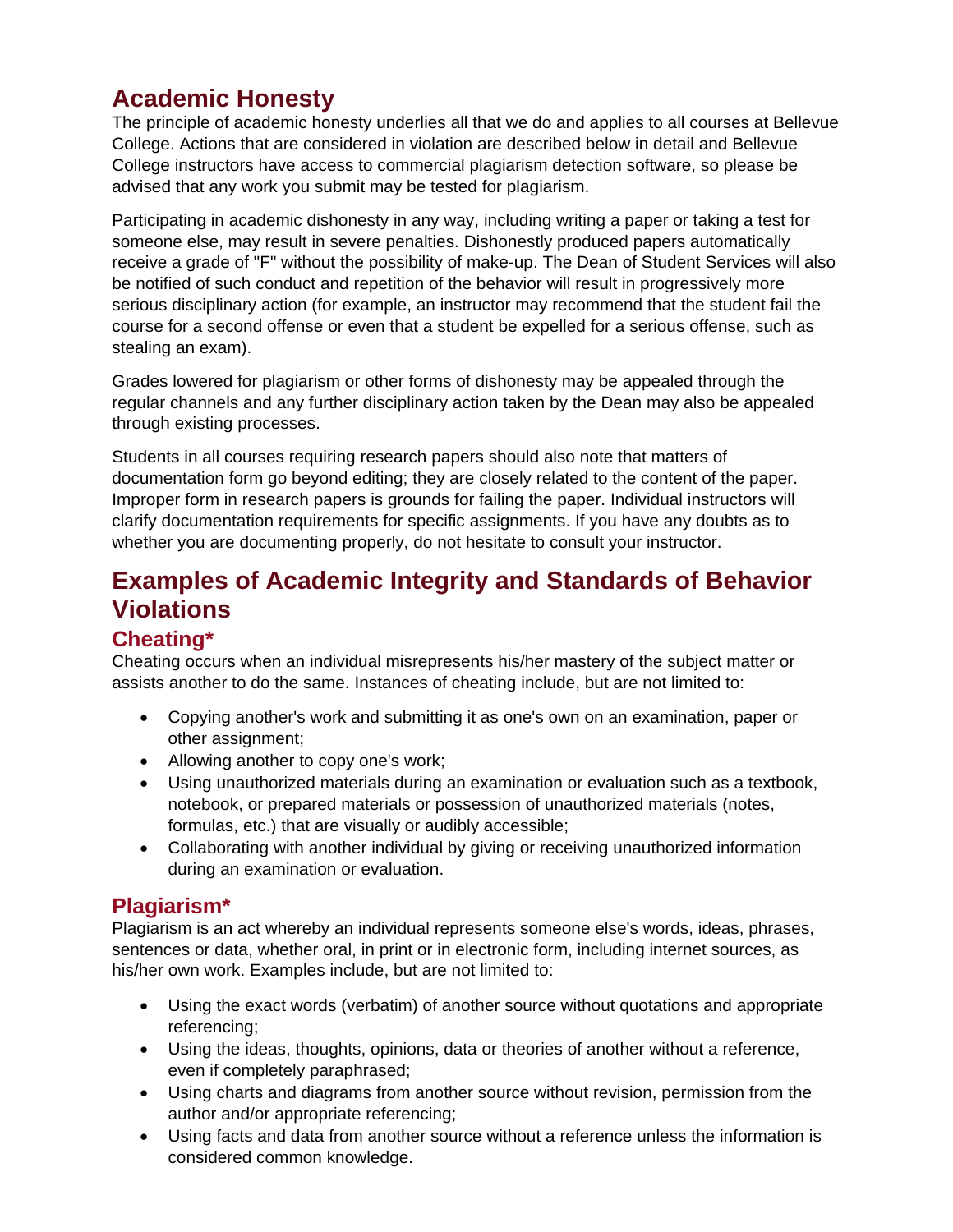# **Academic Honesty**

The principle of academic honesty underlies all that we do and applies to all courses at Bellevue College. Actions that are considered in violation are described below in detail and Bellevue College instructors have access to commercial plagiarism detection software, so please be advised that any work you submit may be tested for plagiarism.

Participating in academic dishonesty in any way, including writing a paper or taking a test for someone else, may result in severe penalties. Dishonestly produced papers automatically receive a grade of "F" without the possibility of make-up. The Dean of Student Services will also be notified of such conduct and repetition of the behavior will result in progressively more serious disciplinary action (for example, an instructor may recommend that the student fail the course for a second offense or even that a student be expelled for a serious offense, such as stealing an exam).

Grades lowered for plagiarism or other forms of dishonesty may be appealed through the regular channels and any further disciplinary action taken by the Dean may also be appealed through existing processes.

Students in all courses requiring research papers should also note that matters of documentation form go beyond editing; they are closely related to the content of the paper. Improper form in research papers is grounds for failing the paper. Individual instructors will clarify documentation requirements for specific assignments. If you have any doubts as to whether you are documenting properly, do not hesitate to consult your instructor.

# **Examples of Academic Integrity and Standards of Behavior Violations**

#### **Cheating\***

Cheating occurs when an individual misrepresents his/her mastery of the subject matter or assists another to do the same. Instances of cheating include, but are not limited to:

- Copying another's work and submitting it as one's own on an examination, paper or other assignment;
- Allowing another to copy one's work;
- Using unauthorized materials during an examination or evaluation such as a textbook, notebook, or prepared materials or possession of unauthorized materials (notes, formulas, etc.) that are visually or audibly accessible;
- Collaborating with another individual by giving or receiving unauthorized information during an examination or evaluation.

#### **Plagiarism\***

Plagiarism is an act whereby an individual represents someone else's words, ideas, phrases, sentences or data, whether oral, in print or in electronic form, including internet sources, as his/her own work. Examples include, but are not limited to:

- Using the exact words (verbatim) of another source without quotations and appropriate referencing;
- Using the ideas, thoughts, opinions, data or theories of another without a reference, even if completely paraphrased;
- Using charts and diagrams from another source without revision, permission from the author and/or appropriate referencing;
- Using facts and data from another source without a reference unless the information is considered common knowledge.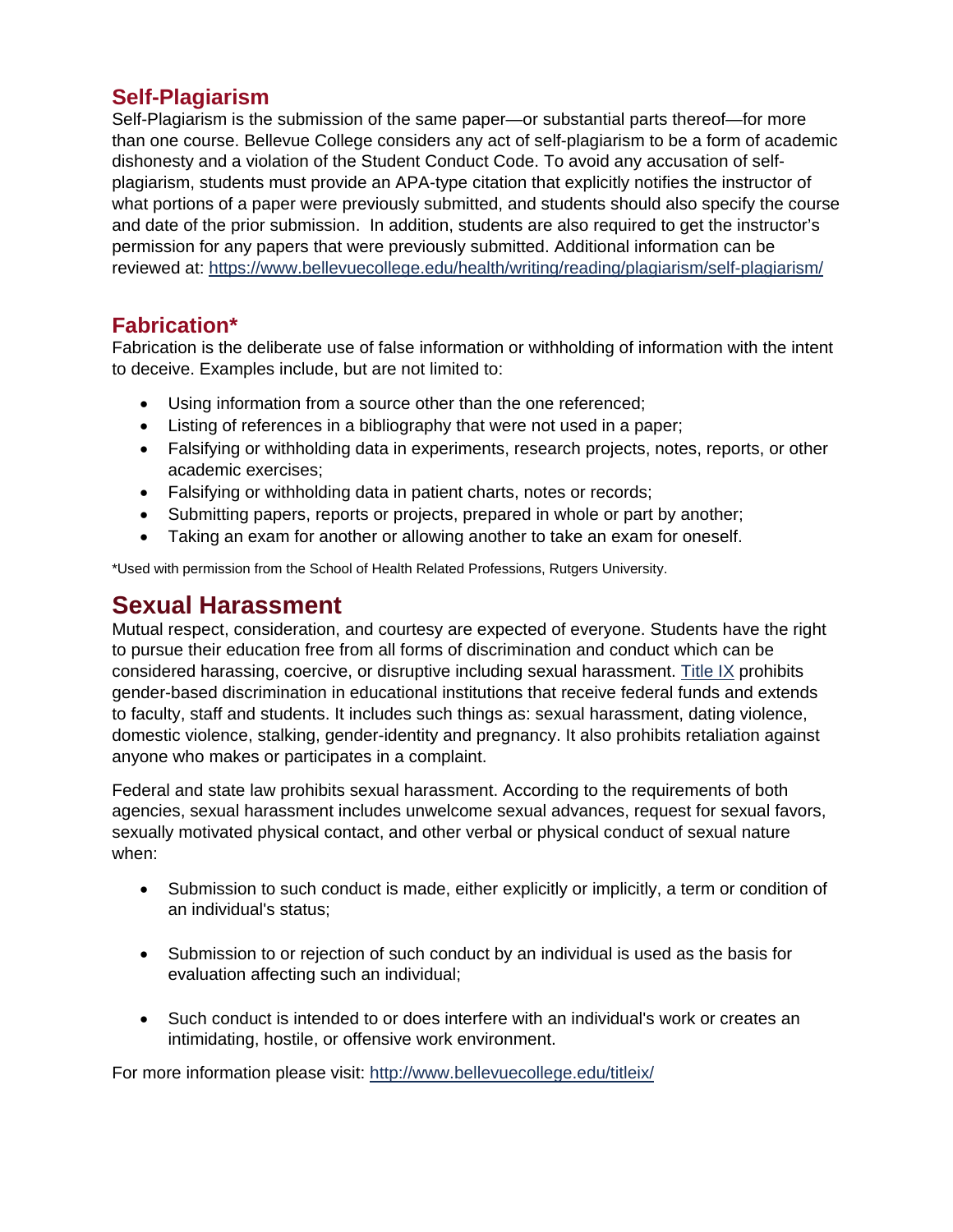#### **Self-Plagiarism**

Self-Plagiarism is the submission of the same paper—or substantial parts thereof—for more than one course. Bellevue College considers any act of self-plagiarism to be a form of academic dishonesty and a violation of the Student Conduct Code. To avoid any accusation of selfplagiarism, students must provide an APA-type citation that explicitly notifies the instructor of what portions of a paper were previously submitted, and students should also specify the course and date of the prior submission. In addition, students are also required to get the instructor's permission for any papers that were previously submitted. Additional information can be reviewed at:<https://www.bellevuecollege.edu/health/writing/reading/plagiarism/self-plagiarism/>

#### **Fabrication\***

Fabrication is the deliberate use of false information or withholding of information with the intent to deceive. Examples include, but are not limited to:

- Using information from a source other than the one referenced;
- Listing of references in a bibliography that were not used in a paper;
- Falsifying or withholding data in experiments, research projects, notes, reports, or other academic exercises;
- Falsifying or withholding data in patient charts, notes or records;
- Submitting papers, reports or projects, prepared in whole or part by another;
- Taking an exam for another or allowing another to take an exam for oneself.

\*Used with permission from the School of Health Related Professions, Rutgers University.

#### **Sexual Harassment**

Mutual respect, consideration, and courtesy are expected of everyone. Students have the right to pursue their education free from all forms of discrimination and conduct which can be considered harassing, coercive, or disruptive including sexual harassment. [Title IX](http://www.bellevuecollege.edu/titleix/) prohibits gender-based discrimination in educational institutions that receive federal funds and extends to faculty, staff and students. It includes such things as: sexual harassment, dating violence, domestic violence, stalking, gender-identity and pregnancy. It also prohibits retaliation against anyone who makes or participates in a complaint.

Federal and state law prohibits sexual harassment. According to the requirements of both agencies, sexual harassment includes unwelcome sexual advances, request for sexual favors, sexually motivated physical contact, and other verbal or physical conduct of sexual nature when:

- Submission to such conduct is made, either explicitly or implicitly, a term or condition of an individual's status;
- Submission to or rejection of such conduct by an individual is used as the basis for evaluation affecting such an individual;
- Such conduct is intended to or does interfere with an individual's work or creates an intimidating, hostile, or offensive work environment.

For more information please visit:<http://www.bellevuecollege.edu/titleix/>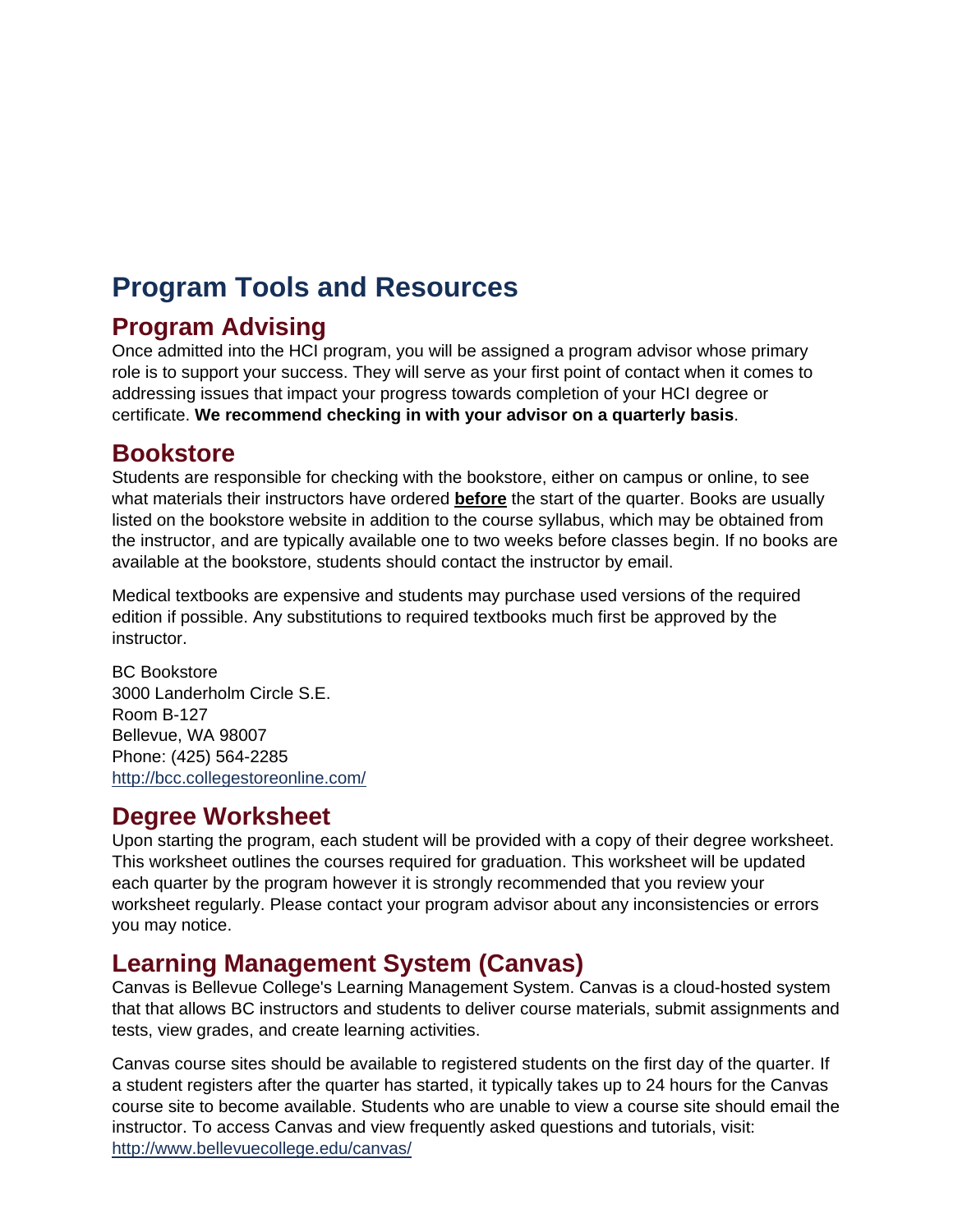# <span id="page-8-0"></span>**Program Tools and Resources**

#### **Program Advising**

Once admitted into the HCI program, you will be assigned a program advisor whose primary role is to support your success. They will serve as your first point of contact when it comes to addressing issues that impact your progress towards completion of your HCI degree or certificate. **We recommend checking in with your advisor on a quarterly basis**.

#### **Bookstore**

Students are responsible for checking with the bookstore, either on campus or online, to see what materials their instructors have ordered **before** the start of the quarter. Books are usually listed on the bookstore website in addition to the course syllabus, which may be obtained from the instructor, and are typically available one to two weeks before classes begin. If no books are available at the bookstore, students should contact the instructor by email.

Medical textbooks are expensive and students may purchase used versions of the required edition if possible. Any substitutions to required textbooks much first be approved by the instructor.

BC Bookstore 3000 Landerholm Circle S.E. Room B-127 Bellevue, WA 98007 Phone: (425) 564-2285 <http://bcc.collegestoreonline.com/>

#### **Degree Worksheet**

Upon starting the program, each student will be provided with a copy of their degree worksheet. This worksheet outlines the courses required for graduation. This worksheet will be updated each quarter by the program however it is strongly recommended that you review your worksheet regularly. Please contact your program advisor about any inconsistencies or errors you may notice.

### **Learning Management System (Canvas)**

Canvas is Bellevue College's Learning Management System. Canvas is a cloud-hosted system that that allows BC instructors and students to deliver course materials, submit assignments and tests, view grades, and create learning activities.

Canvas course sites should be available to registered students on the first day of the quarter. If a student registers after the quarter has started, it typically takes up to 24 hours for the Canvas course site to become available. Students who are unable to view a course site should email the instructor. To access Canvas and view frequently asked questions and tutorials, visit: <http://www.bellevuecollege.edu/canvas/>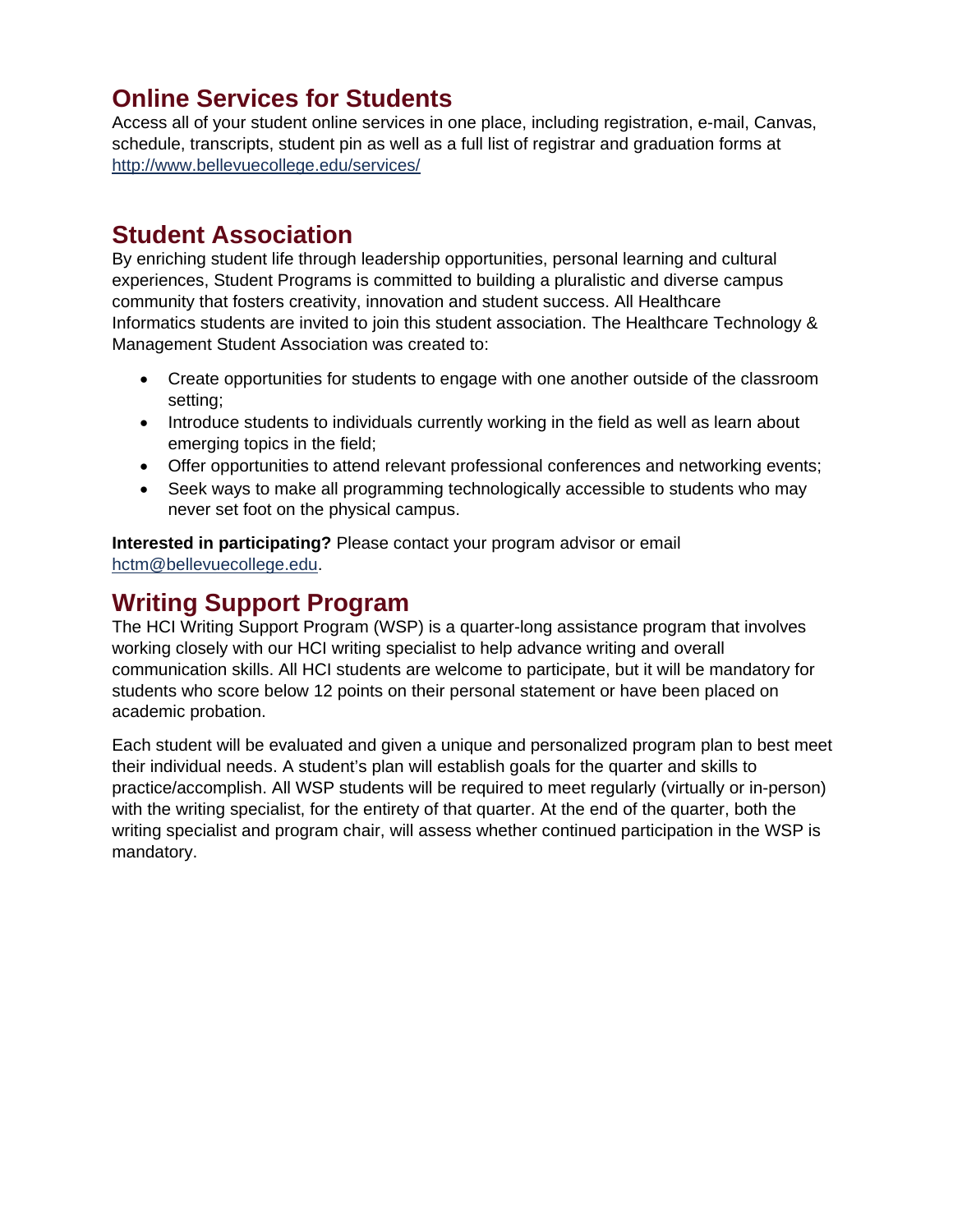#### **Online Services for Students**

Access all of your student online services in one place, including registration, e-mail, Canvas, schedule, transcripts, student pin as well as a full list of registrar and graduation forms at <http://www.bellevuecollege.edu/services/>

#### **Student Association**

By enriching student life through leadership opportunities, personal learning and cultural experiences, Student Programs is committed to building a pluralistic and diverse campus community that fosters creativity, innovation and student success. All Healthcare Informatics students are invited to join this student association. The Healthcare Technology & Management Student Association was created to:

- Create opportunities for students to engage with one another outside of the classroom setting;
- Introduce students to individuals currently working in the field as well as learn about emerging topics in the field;
- Offer opportunities to attend relevant professional conferences and networking events;
- Seek ways to make all programming technologically accessible to students who may never set foot on the physical campus.

**Interested in participating?** Please contact your program advisor or email [hctm@bellevuecollege.edu.](mailto:hctm@bellevuecollege.edu)

#### **Writing Support Program**

The HCI Writing Support Program (WSP) is a quarter-long assistance program that involves working closely with our HCI writing specialist to help advance writing and overall communication skills. All HCI students are welcome to participate, but it will be mandatory for students who score below 12 points on their personal statement or have been placed on academic probation.

Each student will be evaluated and given a unique and personalized program plan to best meet their individual needs. A student's plan will establish goals for the quarter and skills to practice/accomplish. All WSP students will be required to meet regularly (virtually or in-person) with the writing specialist, for the entirety of that quarter. At the end of the quarter, both the writing specialist and program chair, will assess whether continued participation in the WSP is mandatory.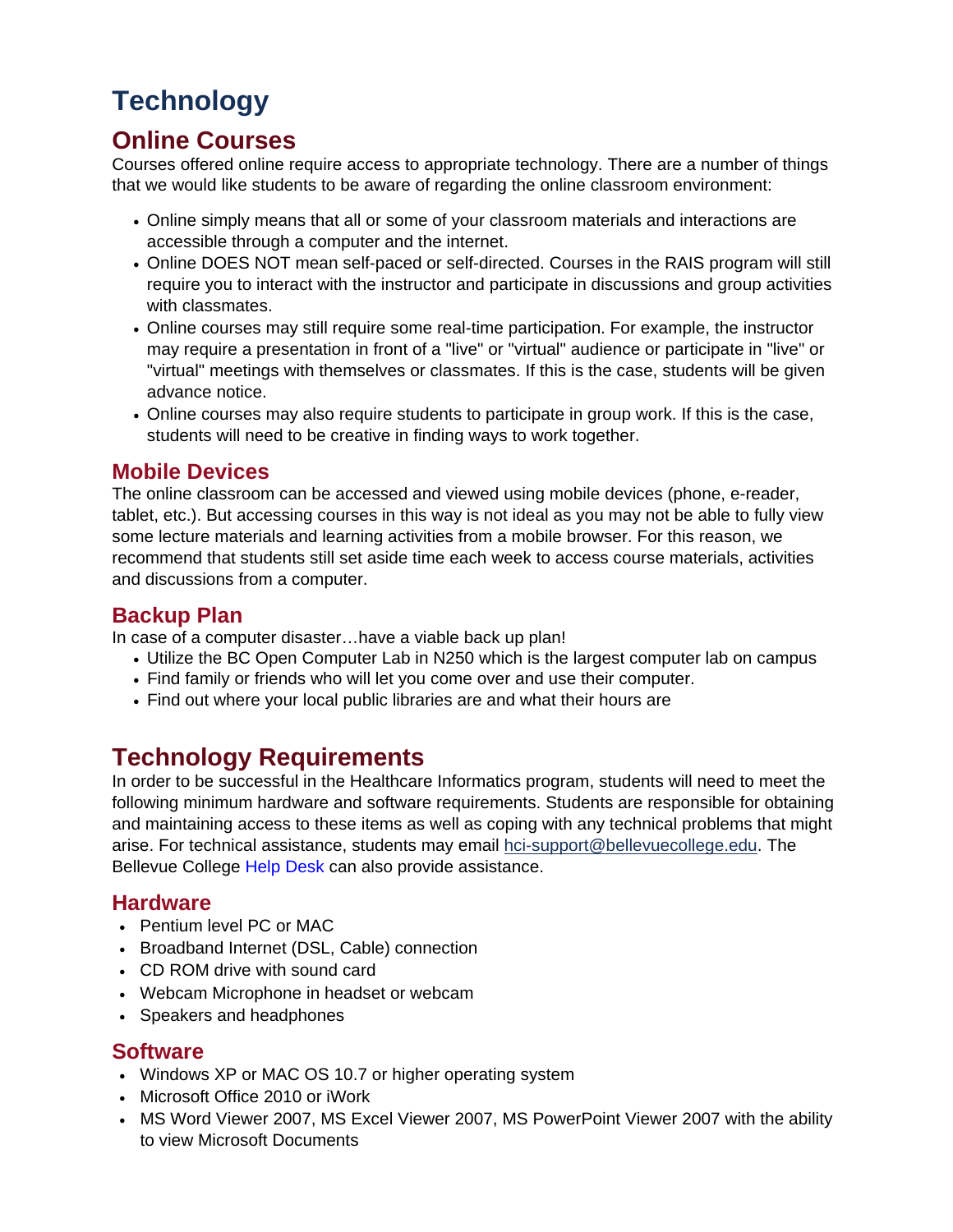# <span id="page-10-0"></span>**Technology**

#### **Online Courses**

Courses offered online require access to appropriate technology. There are a number of things that we would like students to be aware of regarding the online classroom environment:

- Online simply means that all or some of your classroom materials and interactions are accessible through a computer and the internet.
- Online DOES NOT mean self-paced or self-directed. Courses in the RAIS program will still require you to interact with the instructor and participate in discussions and group activities with classmates.
- Online courses may still require some real-time participation. For example, the instructor may require a presentation in front of a "live" or "virtual" audience or participate in "live" or "virtual" meetings with themselves or classmates. If this is the case, students will be given advance notice.
- Online courses may also require students to participate in group work. If this is the case, students will need to be creative in finding ways to work together.

#### **Mobile Devices**

The online classroom can be accessed and viewed using mobile devices (phone, e-reader, tablet, etc.). But accessing courses in this way is not ideal as you may not be able to fully view some lecture materials and learning activities from a mobile browser. For this reason, we recommend that students still set aside time each week to access course materials, activities and discussions from a computer.

#### **Backup Plan**

In case of a computer disaster…have a viable back up plan!

- Utilize the BC Open Computer Lab in N250 which is the largest computer lab on campus
- Find family or friends who will let you come over and use their computer.
- Find out where your local public libraries are and what their hours are

### **Technology Requirements**

In order to be successful in the Healthcare Informatics program, students will need to meet the following minimum hardware and software requirements. Students are responsible for obtaining and maintaining access to these items as well as coping with any technical problems that might arise. For technical assistance, students may email [hci-support@bellevuecollege.edu.](mailto:hci-support@bellevuecollege.edu) The Bellevue College [Help Desk](http://depts.bellevuecollege.edu/helpdesk/students/) can also provide assistance.

#### **Hardware**

- Pentium level PC or MAC
- Broadband Internet (DSL, Cable) connection
- CD ROM drive with sound card
- Webcam Microphone in headset or webcam
- Speakers and headphones

#### **Software**

- Windows XP or MAC OS 10.7 or higher operating system
- Microsoft Office 2010 or iWork
- MS Word Viewer 2007, MS Excel Viewer 2007, MS PowerPoint Viewer 2007 with the ability to view Microsoft Documents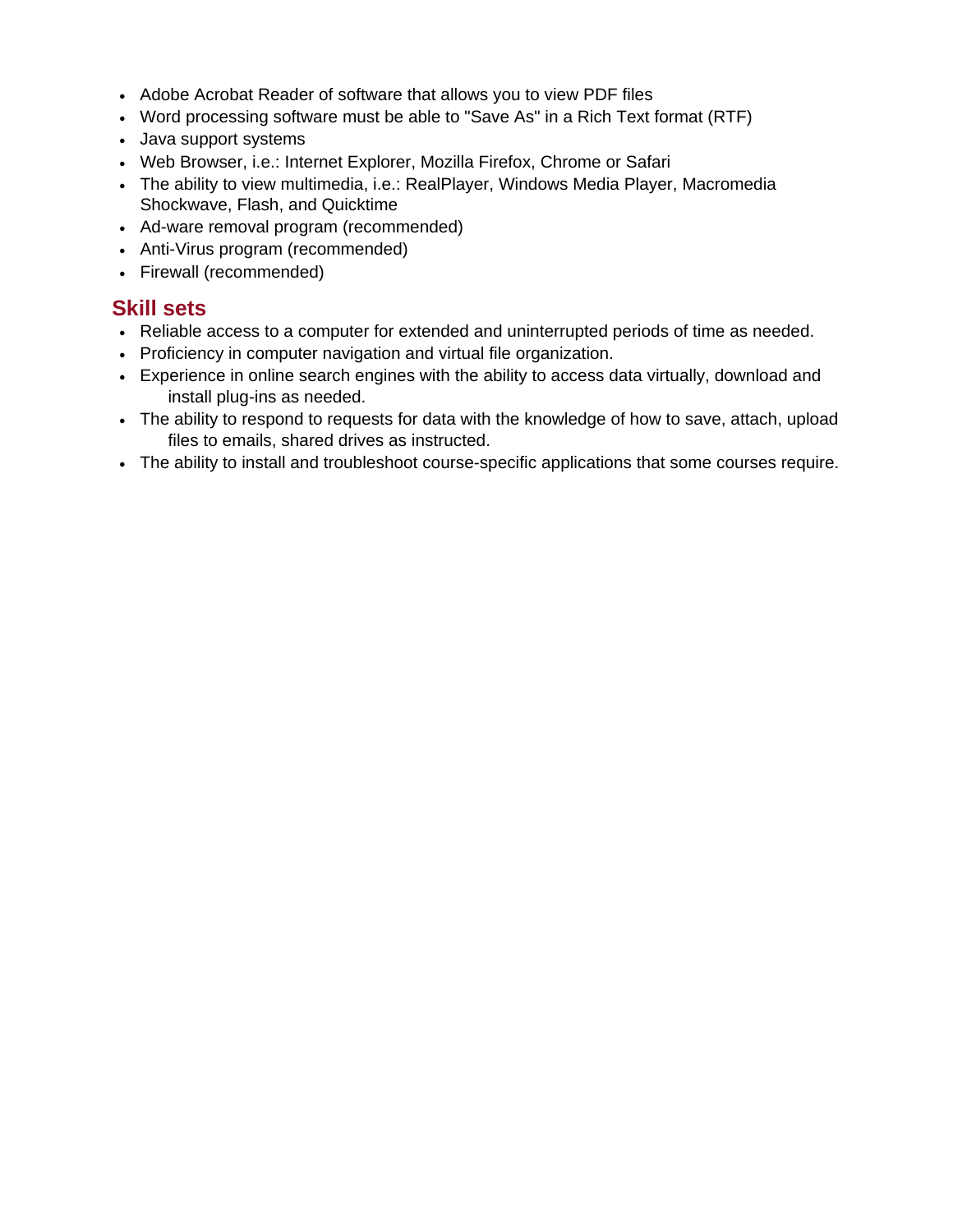- Adobe Acrobat Reader of software that allows you to view PDF files
- Word processing software must be able to "Save As" in a Rich Text format (RTF)
- Java support systems
- Web Browser, i.e.: Internet Explorer, Mozilla Firefox, Chrome or Safari
- The ability to view multimedia, i.e.: RealPlayer, Windows Media Player, Macromedia Shockwave, Flash, and Quicktime
- Ad-ware removal program (recommended)
- Anti-Virus program (recommended)
- Firewall (recommended)

#### **Skill sets**

- Reliable access to a computer for extended and uninterrupted periods of time as needed.
- Proficiency in computer navigation and virtual file organization.
- Experience in online search engines with the ability to access data virtually, download and install plug-ins as needed.
- The ability to respond to requests for data with the knowledge of how to save, attach, upload files to emails, shared drives as instructed.
- The ability to install and troubleshoot course-specific applications that some courses require.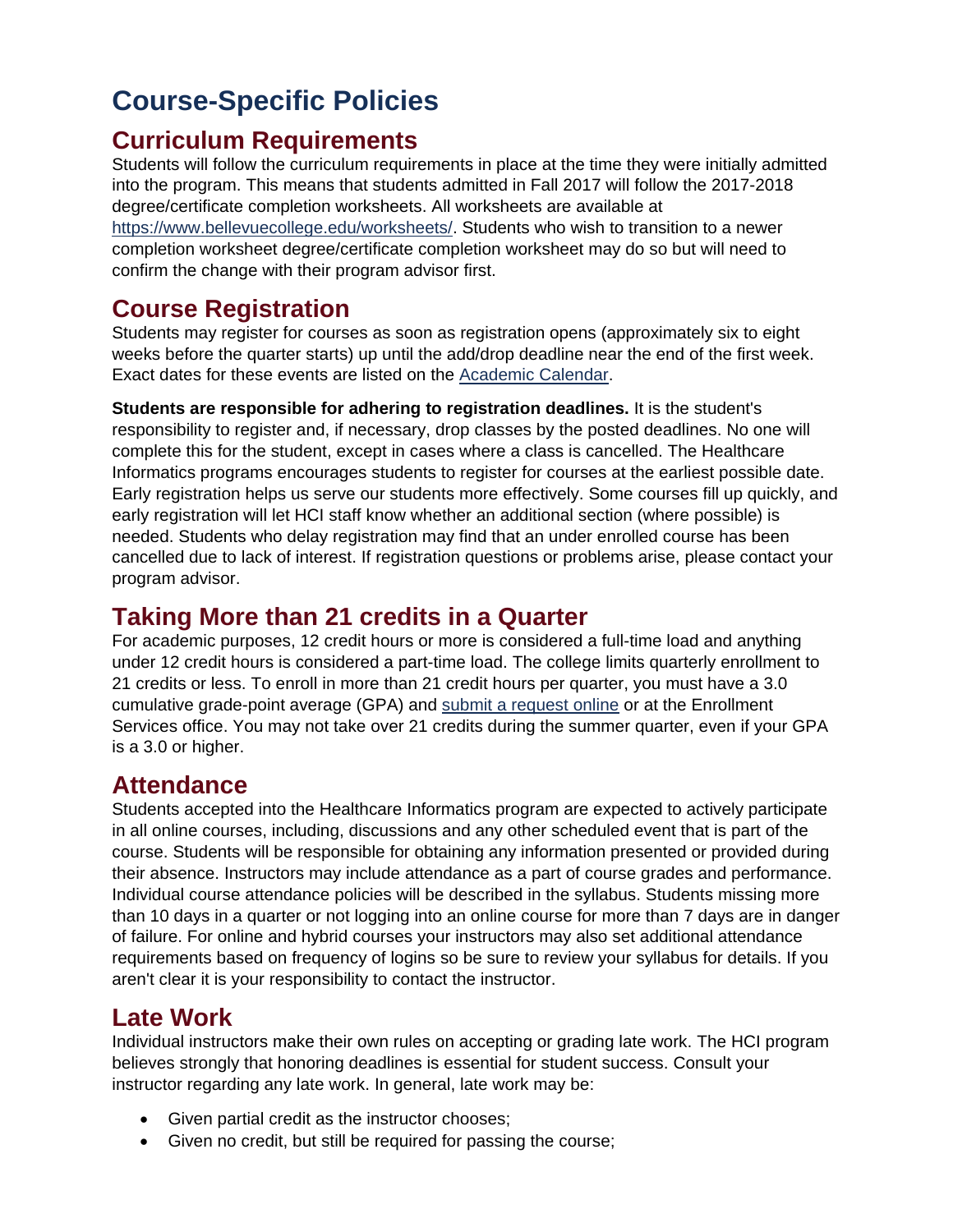# <span id="page-12-0"></span>**Course-Specific Policies**

#### **Curriculum Requirements**

Students will follow the curriculum requirements in place at the time they were initially admitted into the program. This means that students admitted in Fall 2017 will follow the 2017-2018 degree/certificate completion worksheets. All worksheets are available at [https://www.bellevuecollege.edu/worksheets/.](https://www.bellevuecollege.edu/worksheets/) Students who wish to transition to a newer completion worksheet degree/certificate completion worksheet may do so but will need to confirm the change with their program advisor first.

### **Course Registration**

Students may register for courses as soon as registration opens (approximately six to eight weeks before the quarter starts) up until the add/drop deadline near the end of the first week. Exact dates for these events are listed on the [Academic](https://www.bellevuecollege.edu/studentcentral/calendar/) Calendar.

**Students are responsible for adhering to registration deadlines.** It is the student's responsibility to register and, if necessary, drop classes by the posted deadlines. No one will complete this for the student, except in cases where a class is cancelled. The Healthcare Informatics programs encourages students to register for courses at the earliest possible date. Early registration helps us serve our students more effectively. Some courses fill up quickly, and early registration will let HCI staff know whether an additional section (where possible) is needed. Students who delay registration may find that an under enrolled course has been cancelled due to lack of interest. If registration questions or problems arise, please contact your program advisor.

#### **Taking More than 21 credits in a Quarter**

For academic purposes, 12 credit hours or more is considered a full-time load and anything under 12 credit hours is considered a part-time load. The college limits quarterly enrollment to 21 credits or less. To enroll in more than 21 credit hours per quarter, you must have a 3.0 cumulative grade-point average (GPA) and [submit a request online](https://www.bellevuecollege.edu/services/21credits-form/) or at the Enrollment Services office. You may not take over 21 credits during the summer quarter, even if your GPA is a 3.0 or higher.

#### **Attendance**

Students accepted into the Healthcare Informatics program are expected to actively participate in all online courses, including, discussions and any other scheduled event that is part of the course. Students will be responsible for obtaining any information presented or provided during their absence. Instructors may include attendance as a part of course grades and performance. Individual course attendance policies will be described in the syllabus. Students missing more than 10 days in a quarter or not logging into an online course for more than 7 days are in danger of failure. For online and hybrid courses your instructors may also set additional attendance requirements based on frequency of logins so be sure to review your syllabus for details. If you aren't clear it is your responsibility to contact the instructor.

### **Late Work**

Individual instructors make their own rules on accepting or grading late work. The HCI program believes strongly that honoring deadlines is essential for student success. Consult your instructor regarding any late work. In general, late work may be:

- Given partial credit as the instructor chooses;
- Given no credit, but still be required for passing the course;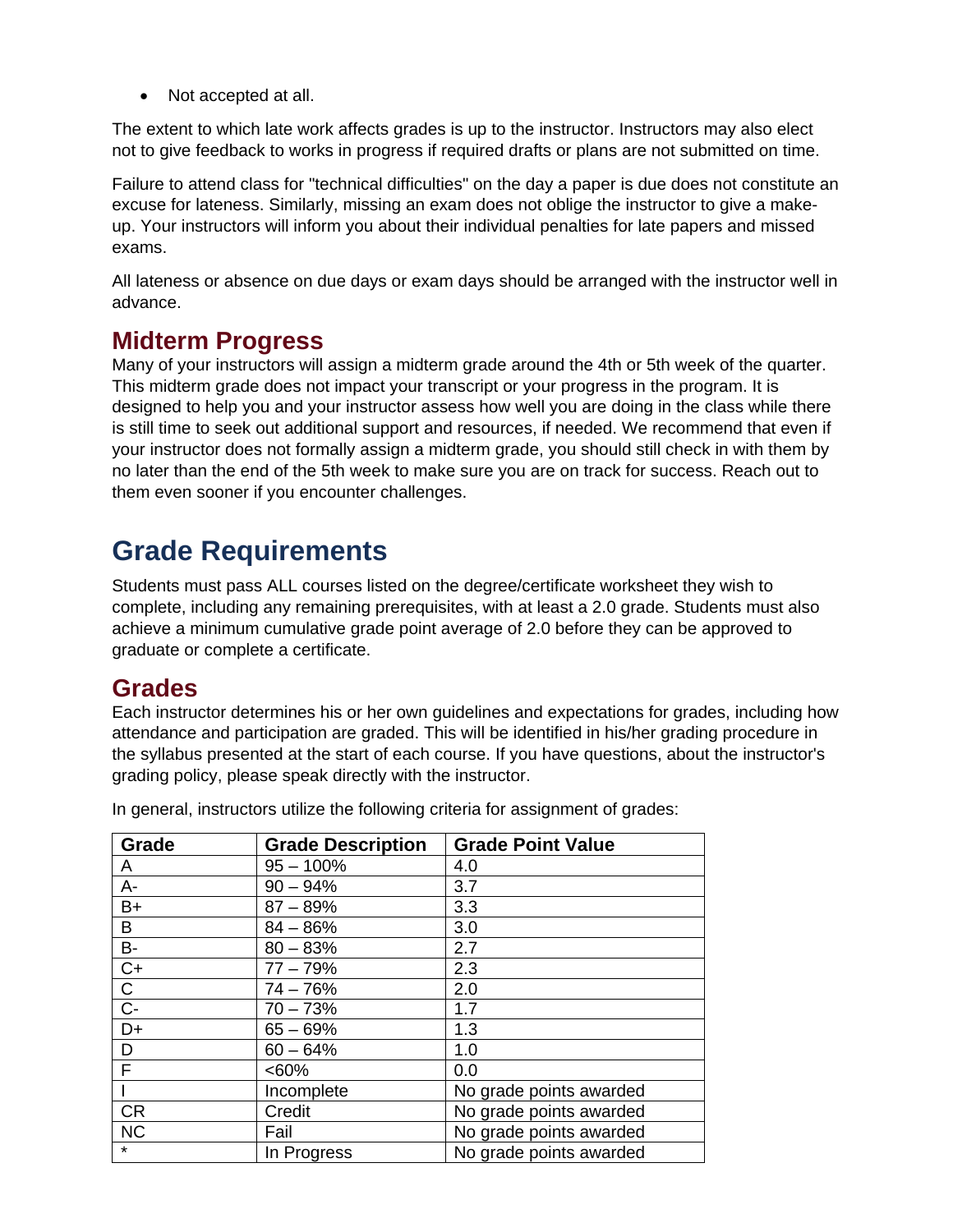• Not accepted at all.

The extent to which late work affects grades is up to the instructor. Instructors may also elect not to give feedback to works in progress if required drafts or plans are not submitted on time.

Failure to attend class for "technical difficulties" on the day a paper is due does not constitute an excuse for lateness. Similarly, missing an exam does not oblige the instructor to give a makeup. Your instructors will inform you about their individual penalties for late papers and missed exams.

All lateness or absence on due days or exam days should be arranged with the instructor well in advance.

#### **Midterm Progress**

Many of your instructors will assign a midterm grade around the 4th or 5th week of the quarter. This midterm grade does not impact your transcript or your progress in the program. It is designed to help you and your instructor assess how well you are doing in the class while there is still time to seek out additional support and resources, if needed. We recommend that even if your instructor does not formally assign a midterm grade, you should still check in with them by no later than the end of the 5th week to make sure you are on track for success. Reach out to them even sooner if you encounter challenges.

# <span id="page-13-0"></span>**Grade Requirements**

Students must pass ALL courses listed on the degree/certificate worksheet they wish to complete, including any remaining prerequisites, with at least a 2.0 grade. Students must also achieve a minimum cumulative grade point average of 2.0 before they can be approved to graduate or complete a certificate.

#### **Grades**

Each instructor determines his or her own guidelines and expectations for grades, including how attendance and participation are graded. This will be identified in his/her grading procedure in the syllabus presented at the start of each course. If you have questions, about the instructor's grading policy, please speak directly with the instructor.

| Grade          | <b>Grade Description</b> | <b>Grade Point Value</b> |
|----------------|--------------------------|--------------------------|
| A              | $95 - 100\%$             | 4.0                      |
| $A -$          | $90 - 94%$               | 3.7                      |
| $B+$           | $87 - 89%$               | 3.3                      |
| В              | $84 - 86%$               | 3.0                      |
| <b>B-</b>      | $80 - 83%$               | 2.7                      |
| $C+$           | $77 - 79%$               | 2.3                      |
| C              | $74 - 76%$               | 2.0                      |
| $\overline{C}$ | $70 - 73%$               | 1.7                      |
| $D+$           | $65 - 69%$               | 1.3                      |
| D              | $60 - 64%$               | 1.0                      |
| F              | $<60\%$                  | 0.0                      |
|                | Incomplete               | No grade points awarded  |
| <b>CR</b>      | Credit                   | No grade points awarded  |
| <b>NC</b>      | Fail                     | No grade points awarded  |
| $\star$        | In Progress              | No grade points awarded  |

In general, instructors utilize the following criteria for assignment of grades: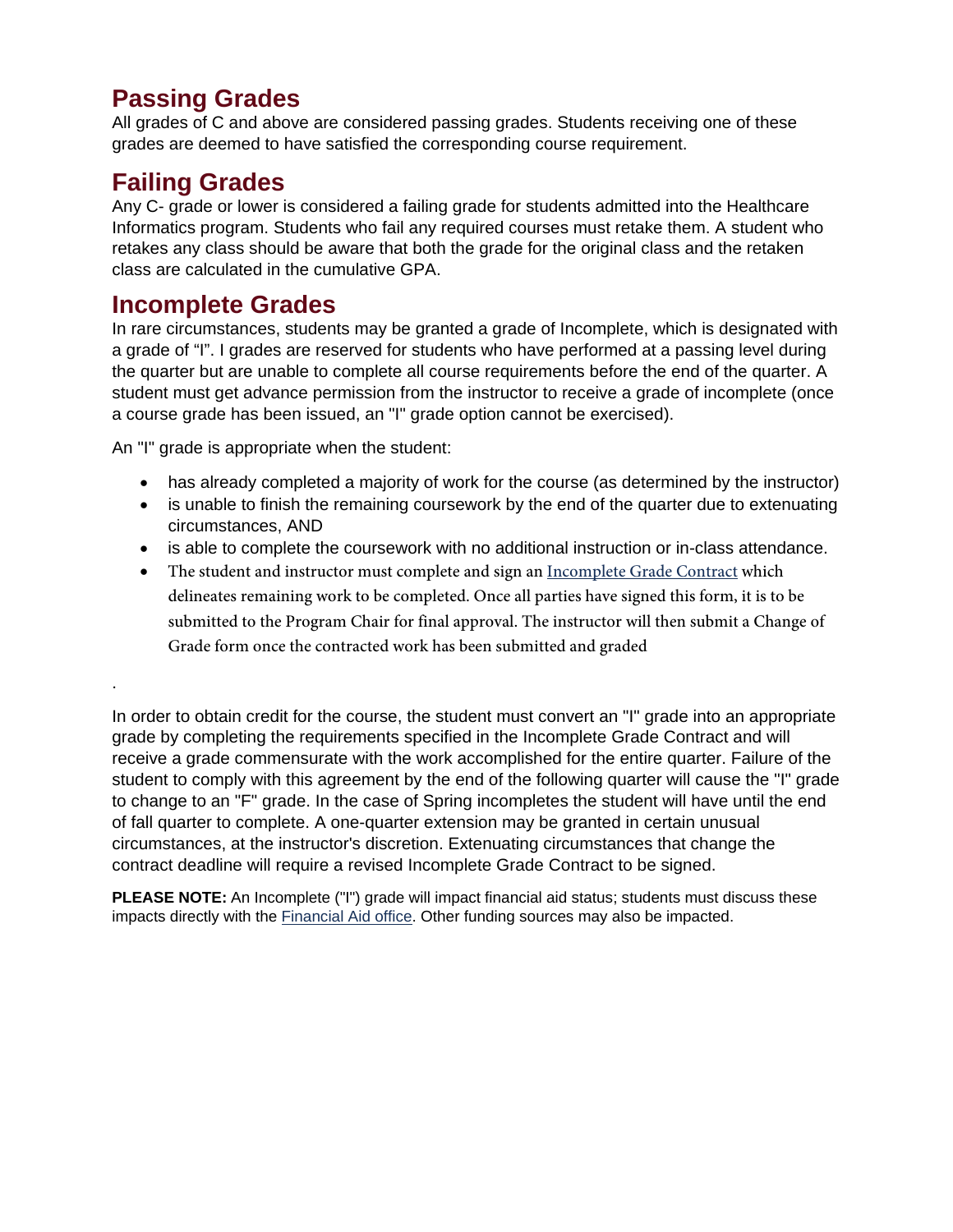#### **Passing Grades**

All grades of C and above are considered passing grades. Students receiving one of these grades are deemed to have satisfied the corresponding course requirement.

#### **Failing Grades**

.

Any C- grade or lower is considered a failing grade for students admitted into the Healthcare Informatics program. Students who fail any required courses must retake them. A student who retakes any class should be aware that both the grade for the original class and the retaken class are calculated in the cumulative GPA.

#### **Incomplete Grades**

In rare circumstances, students may be granted a grade of Incomplete, which is designated with a grade of "I". I grades are reserved for students who have performed at a passing level during the quarter but are unable to complete all course requirements before the end of the quarter. A student must get advance permission from the instructor to receive a grade of incomplete (once a course grade has been issued, an "I" grade option cannot be exercised).

An "I" grade is appropriate when the student:

- has already completed a majority of work for the course (as determined by the instructor)
- is unable to finish the remaining coursework by the end of the quarter due to extenuating circumstances, AND
- is able to complete the coursework with no additional instruction or in-class attendance.
- The student and instructor must complete and sign an [Incomplete Grade Contract](https://s.bellevuecollege.edu/wp/sites/216/2016/01/HCML_IncompleteGradeContract.pdf) which delineates remaining work to be completed. Once all parties have signed this form, it is to be submitted to the Program Chair for final approval. The instructor will then submit a Change of Grade form once the contracted work has been submitted and graded

In order to obtain credit for the course, the student must convert an "I" grade into an appropriate grade by completing the requirements specified in the Incomplete Grade Contract and will receive a grade commensurate with the work accomplished for the entire quarter. Failure of the student to comply with this agreement by the end of the following quarter will cause the "I" grade to change to an "F" grade. In the case of Spring incompletes the student will have until the end of fall quarter to complete. A one-quarter extension may be granted in certain unusual circumstances, at the instructor's discretion. Extenuating circumstances that change the contract deadline will require a revised Incomplete Grade Contract to be signed.

**PLEASE NOTE:** An Incomplete ("I") grade will impact financial aid status; students must discuss these impacts directly with the [Financial Aid office.](http://www.bellevuecollege.edu/fa/) Other funding sources may also be impacted.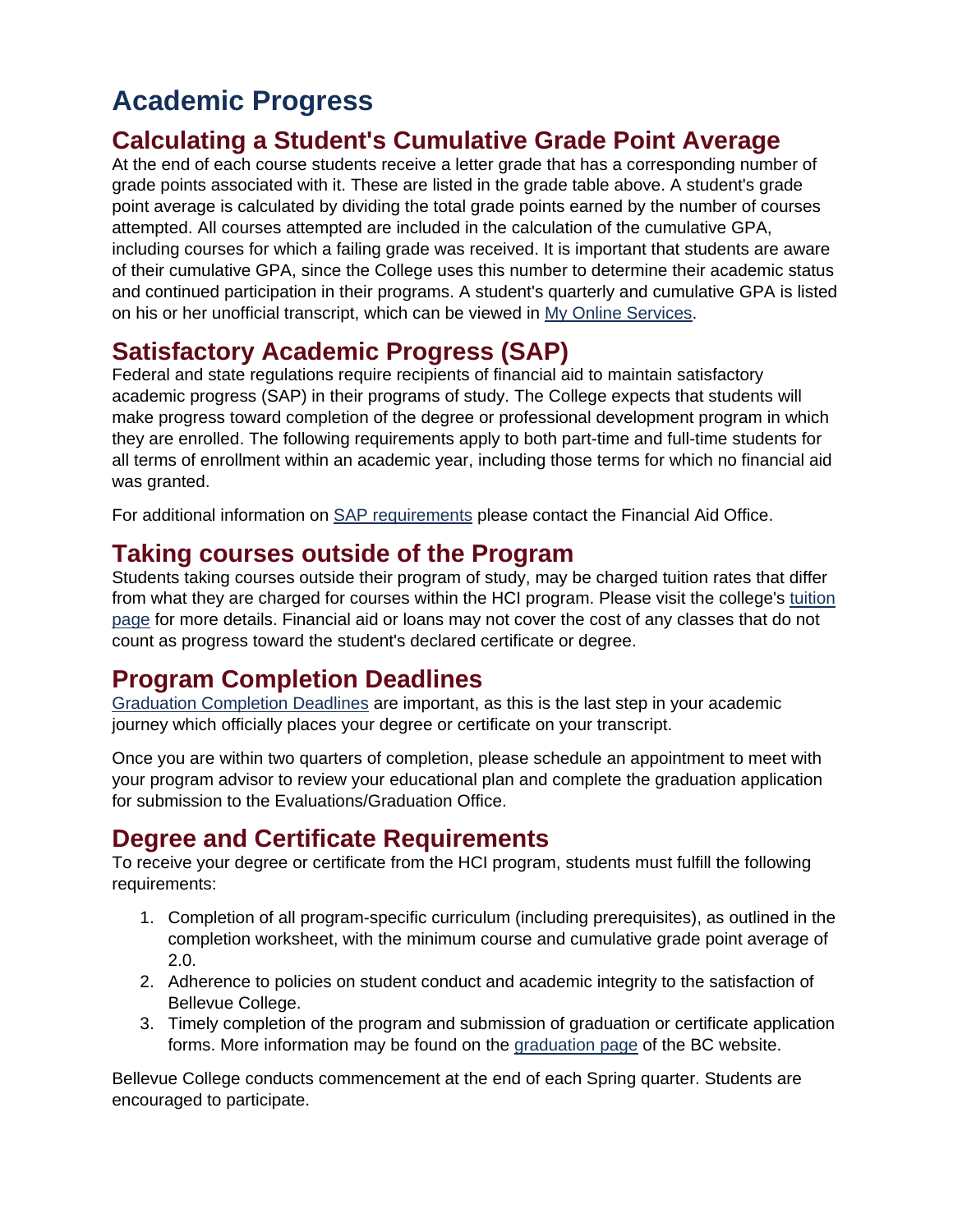# <span id="page-15-0"></span>**Academic Progress**

### **Calculating a Student's Cumulative Grade Point Average**

At the end of each course students receive a letter grade that has a corresponding number of grade points associated with it. These are listed in the grade table above. A student's grade point average is calculated by dividing the total grade points earned by the number of courses attempted. All courses attempted are included in the calculation of the cumulative GPA, including courses for which a failing grade was received. It is important that students are aware of their cumulative GPA, since the College uses this number to determine their academic status and continued participation in their programs. A student's quarterly and cumulative GPA is listed on his or her unofficial transcript, which can be viewed in [My Online Services.](http://www.bellevuecollege.edu/services/)

# **Satisfactory Academic Progress (SAP)**

Federal and state regulations require recipients of financial aid to maintain satisfactory academic progress (SAP) in their programs of study. The College expects that students will make progress toward completion of the degree or professional development program in which they are enrolled. The following requirements apply to both part-time and full-time students for all terms of enrollment within an academic year, including those terms for which no financial aid was granted.

For additional information on [SAP requirements](https://www.bellevuecollege.edu/fa/youraid/sap/) please contact the Financial Aid Office.

#### **Taking courses outside of the Program**

Students taking courses outside their program of study, may be charged tuition rates that differ from what they are charged for courses within the HCI program. Please visit the college's [tuition](http://www.bellevuecollege.edu/tuition/)  [page](http://www.bellevuecollege.edu/tuition/) for more details. Financial aid or loans may not cover the cost of any classes that do not count as progress toward the student's declared certificate or degree.

### **Program Completion Deadlines**

[Graduation Completion Deadlines](http://www.bellevuecollege.edu/graduation/) are important, as this is the last step in your academic journey which officially places your degree or certificate on your transcript.

Once you are within two quarters of completion, please schedule an appointment to meet with your program advisor to review your educational plan and complete the graduation application for submission to the Evaluations/Graduation Office.

# **Degree and Certificate Requirements**

To receive your degree or certificate from the HCI program, students must fulfill the following requirements:

- 1. Completion of all program-specific curriculum (including prerequisites), as outlined in the completion worksheet, with the minimum course and cumulative grade point average of 2.0.
- 2. Adherence to policies on student conduct and academic integrity to the satisfaction of Bellevue College.
- 3. Timely completion of the program and submission of graduation or certificate application forms. More information may be found on the [graduation page](https://www.bellevuecollege.edu/graduation/) of the BC website.

Bellevue College conducts commencement at the end of each Spring quarter. Students are encouraged to participate.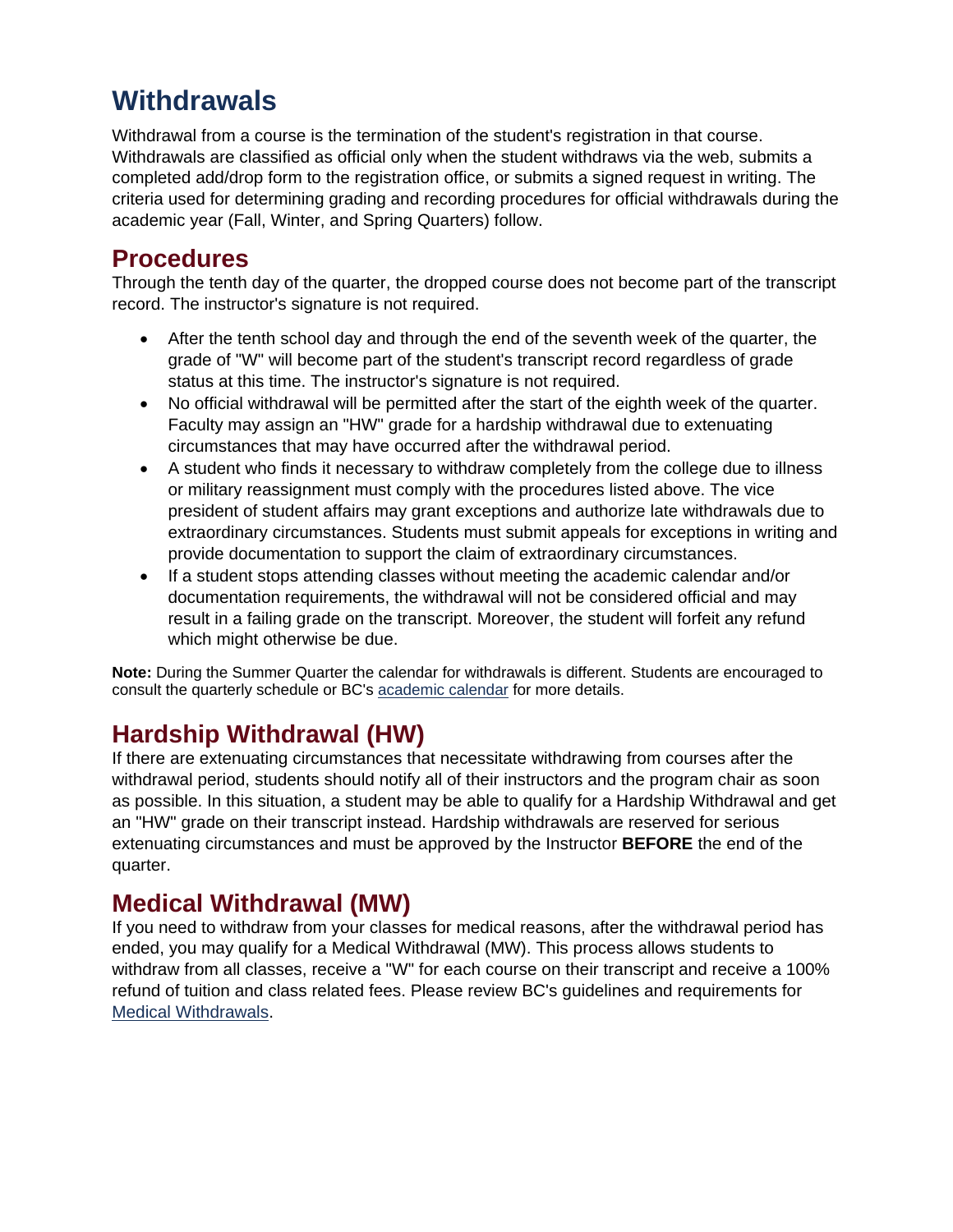# <span id="page-16-0"></span>**Withdrawals**

Withdrawal from a course is the termination of the student's registration in that course. Withdrawals are classified as official only when the student withdraws via the web, submits a completed add/drop form to the registration office, or submits a signed request in writing. The criteria used for determining grading and recording procedures for official withdrawals during the academic year (Fall, Winter, and Spring Quarters) follow.

#### **Procedures**

Through the tenth day of the quarter, the dropped course does not become part of the transcript record. The instructor's signature is not required.

- After the tenth school day and through the end of the seventh week of the quarter, the grade of "W" will become part of the student's transcript record regardless of grade status at this time. The instructor's signature is not required.
- No official withdrawal will be permitted after the start of the eighth week of the quarter. Faculty may assign an "HW" grade for a hardship withdrawal due to extenuating circumstances that may have occurred after the withdrawal period.
- A student who finds it necessary to withdraw completely from the college due to illness or military reassignment must comply with the procedures listed above. The vice president of student affairs may grant exceptions and authorize late withdrawals due to extraordinary circumstances. Students must submit appeals for exceptions in writing and provide documentation to support the claim of extraordinary circumstances.
- If a student stops attending classes without meeting the academic calendar and/or documentation requirements, the withdrawal will not be considered official and may result in a failing grade on the transcript. Moreover, the student will forfeit any refund which might otherwise be due.

**Note:** During the Summer Quarter the calendar for withdrawals is different. Students are encouraged to consult the quarterly schedule or BC's [academic calendar](https://www.bellevuecollege.edu/studentcentral/calendar/) for more details.

# **Hardship Withdrawal (HW)**

If there are extenuating circumstances that necessitate withdrawing from courses after the withdrawal period, students should notify all of their instructors and the program chair as soon as possible. In this situation, a student may be able to qualify for a Hardship Withdrawal and get an "HW" grade on their transcript instead. Hardship withdrawals are reserved for serious extenuating circumstances and must be approved by the Instructor **BEFORE** the end of the quarter.

# **Medical Withdrawal (MW)**

If you need to withdraw from your classes for medical reasons, after the withdrawal period has ended, you may qualify for a Medical Withdrawal (MW). This process allows students to withdraw from all classes, receive a "W" for each course on their transcript and receive a 100% refund of tuition and class related fees. Please review BC's guidelines and requirements for [Medical Withdrawals.](https://www.bellevuecollege.edu/registration/appeal/appeal-form/)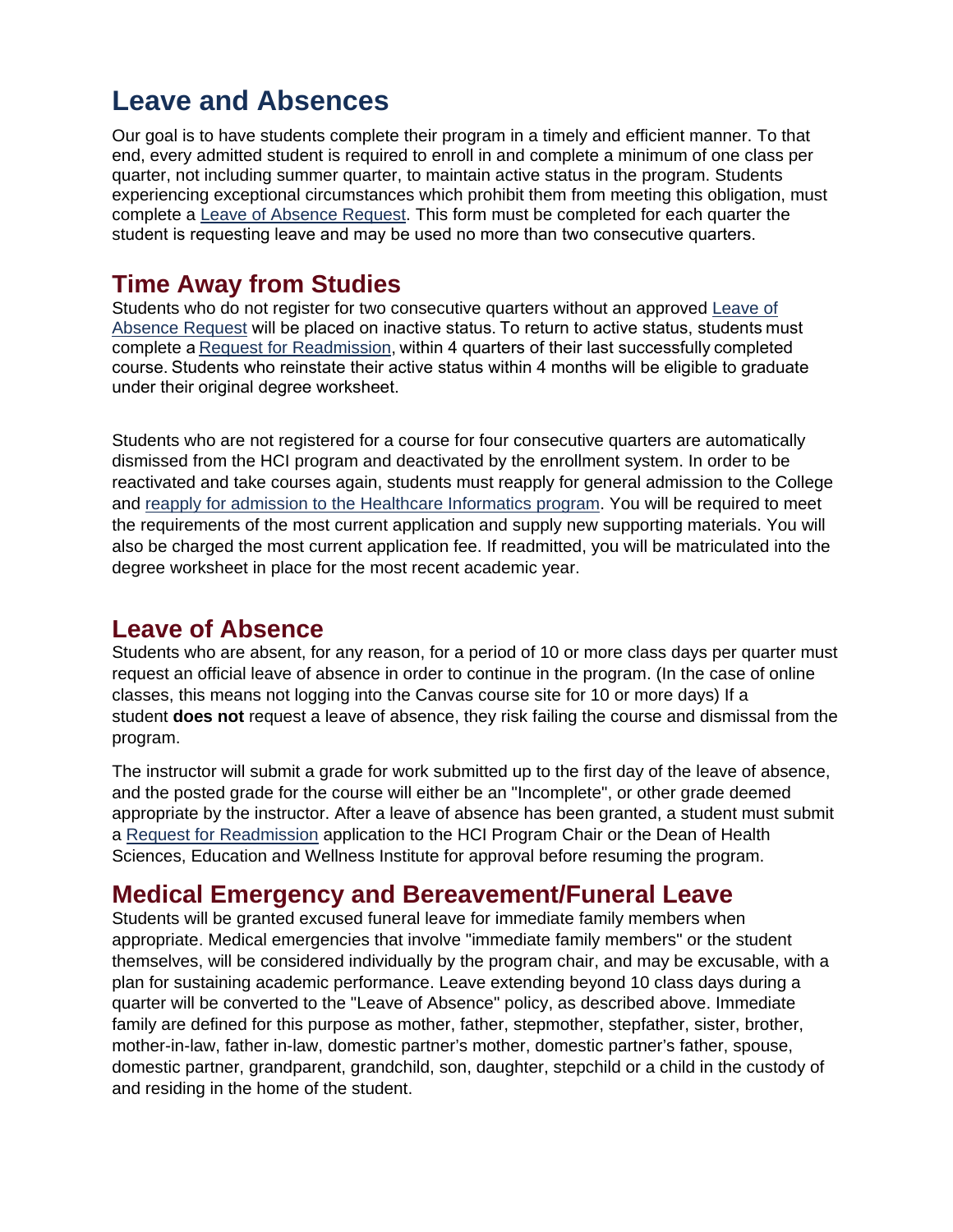# <span id="page-17-0"></span>**Leave and Absences**

Our goal is to have students complete their program in a timely and efficient manner. To that end, every admitted student is required to enroll in and complete a minimum of one class per quarter, not including summer quarter, to maintain active status in the program. Students experiencing exceptional circumstances which prohibit them from meeting this obligation, must complete a [Leave of Absence Request.](https://forms.bellevuecollege.edu/hci/leave-of-absence/) This form must be completed for each quarter the student is requesting leave and may be used no more than two consecutive quarters. 

### **Time Away from Studies**

Students who do not register for two consecutive quarters without an approved [Leave of](https://forms.bellevuecollege.edu/hci/leave-of-absence/)  [Absence Request](https://forms.bellevuecollege.edu/hci/leave-of-absence/) will be placed on inactive status. To return to active status, students must complete a [Request for Readmission](https://forms.bellevuecollege.edu/hci/hci-readmission-application/), within 4 quarters of their last successfully completed course. Students who reinstate their active status within 4 months will be eligible to graduate under their original degree worksheet. 

Students who are not registered for a course for four consecutive quarters are automatically dismissed from the HCI program and deactivated by the enrollment system. In order to be reactivated and take courses again, students must reapply for general admission to the College and [reapply for admission to the Healthcare Informatics program.](https://www.bellevuecollege.edu/hci/how-to-apply/readmission-reinstatement/) You will be required to meet the requirements of the most current application and supply new supporting materials. You will also be charged the most current application fee. If readmitted, you will be matriculated into the degree worksheet in place for the most recent academic year.

### **Leave of Absence**

Students who are absent, for any reason, for a period of 10 or more class days per quarter must request an official leave of absence in order to continue in the program. (In the case of online classes, this means not logging into the Canvas course site for 10 or more days) If a student **does not** request a leave of absence, they risk failing the course and dismissal from the program.

The instructor will submit a grade for work submitted up to the first day of the leave of absence, and the posted grade for the course will either be an "Incomplete", or other grade deemed appropriate by the instructor. After a leave of absence has been granted, a student must submit a [Request for Readmission](https://forms.bellevuecollege.edu/hci/hci-readmission-application/) application to the HCI Program Chair or the Dean of Health Sciences, Education and Wellness Institute for approval before resuming the program.

### **Medical Emergency and Bereavement/Funeral Leave**

Students will be granted excused funeral leave for immediate family members when appropriate. Medical emergencies that involve "immediate family members" or the student themselves, will be considered individually by the program chair, and may be excusable, with a plan for sustaining academic performance. Leave extending beyond 10 class days during a quarter will be converted to the "Leave of Absence" policy, as described above. Immediate family are defined for this purpose as mother, father, stepmother, stepfather, sister, brother, mother-in-law, father in-law, domestic partner's mother, domestic partner's father, spouse, domestic partner, grandparent, grandchild, son, daughter, stepchild or a child in the custody of and residing in the home of the student.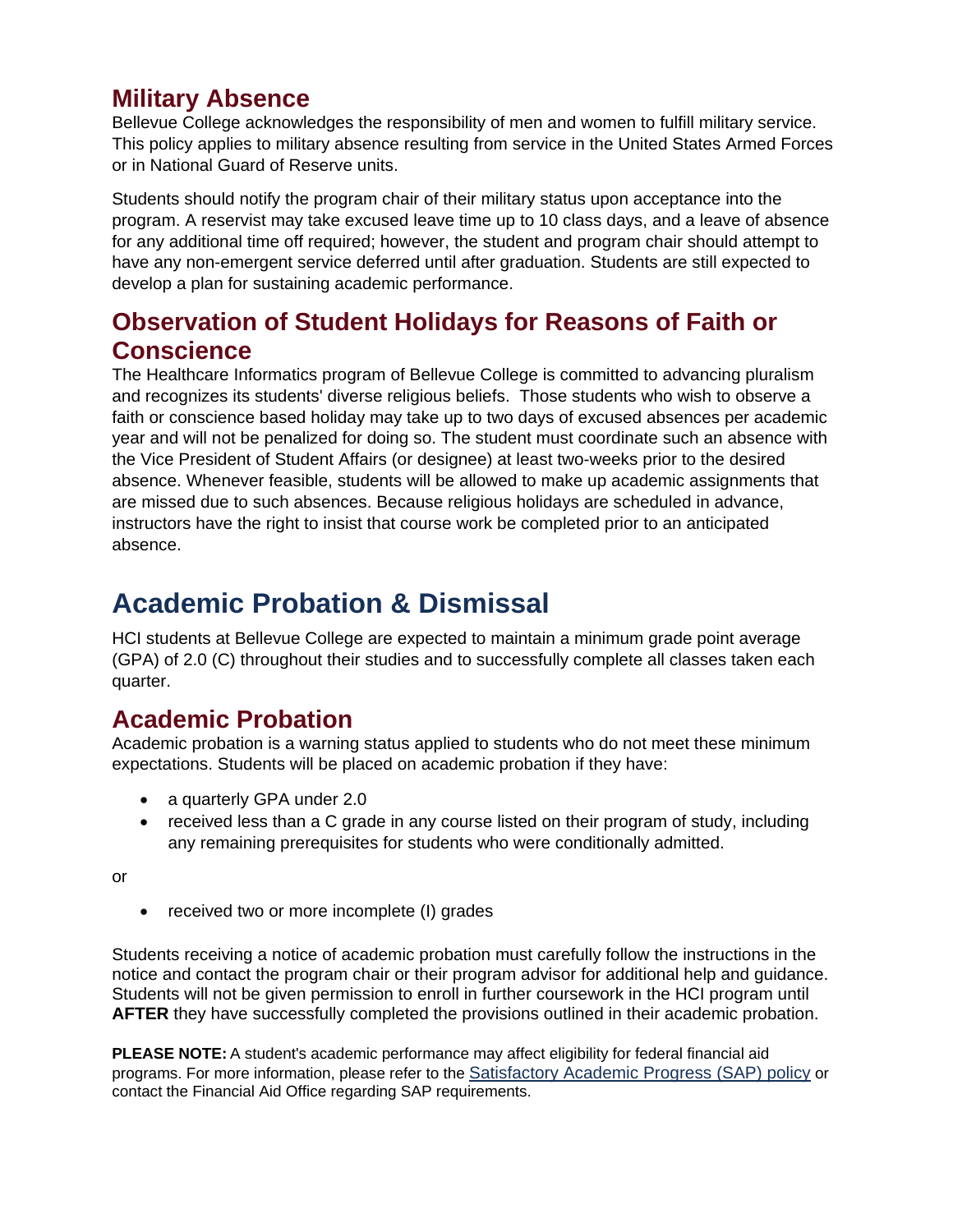#### **Military Absence**

Bellevue College acknowledges the responsibility of men and women to fulfill military service. This policy applies to military absence resulting from service in the United States Armed Forces or in National Guard of Reserve units.

Students should notify the program chair of their military status upon acceptance into the program. A reservist may take excused leave time up to 10 class days, and a leave of absence for any additional time off required; however, the student and program chair should attempt to have any non-emergent service deferred until after graduation. Students are still expected to develop a plan for sustaining academic performance.

### **Observation of Student Holidays for Reasons of Faith or Conscience**

The Healthcare Informatics program of Bellevue College is committed to advancing pluralism and recognizes its students' diverse religious beliefs. Those students who wish to observe a faith or conscience based holiday may take up to two days of excused absences per academic year and will not be penalized for doing so. The student must coordinate such an absence with the Vice President of Student Affairs (or designee) at least two-weeks prior to the desired absence. Whenever feasible, students will be allowed to make up academic assignments that are missed due to such absences. Because religious holidays are scheduled in advance, instructors have the right to insist that course work be completed prior to an anticipated absence.

# <span id="page-18-0"></span>**Academic Probation & Dismissal**

HCI students at Bellevue College are expected to maintain a minimum grade point average (GPA) of 2.0 (C) throughout their studies and to successfully complete all classes taken each quarter.

### **Academic Probation**

Academic probation is a warning status applied to students who do not meet these minimum expectations. Students will be placed on academic probation if they have:

- a quarterly GPA under 2.0
- received less than a C grade in any course listed on their program of study, including any remaining prerequisites for students who were conditionally admitted.

or

• received two or more incomplete (I) grades

Students receiving a notice of academic probation must carefully follow the instructions in the notice and contact the program chair or their program advisor for additional help and guidance. Students will not be given permission to enroll in further coursework in the HCI program until **AFTER** they have successfully completed the provisions outlined in their academic probation.

**PLEASE NOTE:** A student's academic performance may affect eligibility for federal financial aid programs. For more information, please refer to the [Satisfactory Academic Progress \(SAP\)](https://www.bellevuecollege.edu/fa/youraid/sap/) policy or contact the Financial Aid Office regarding SAP requirements.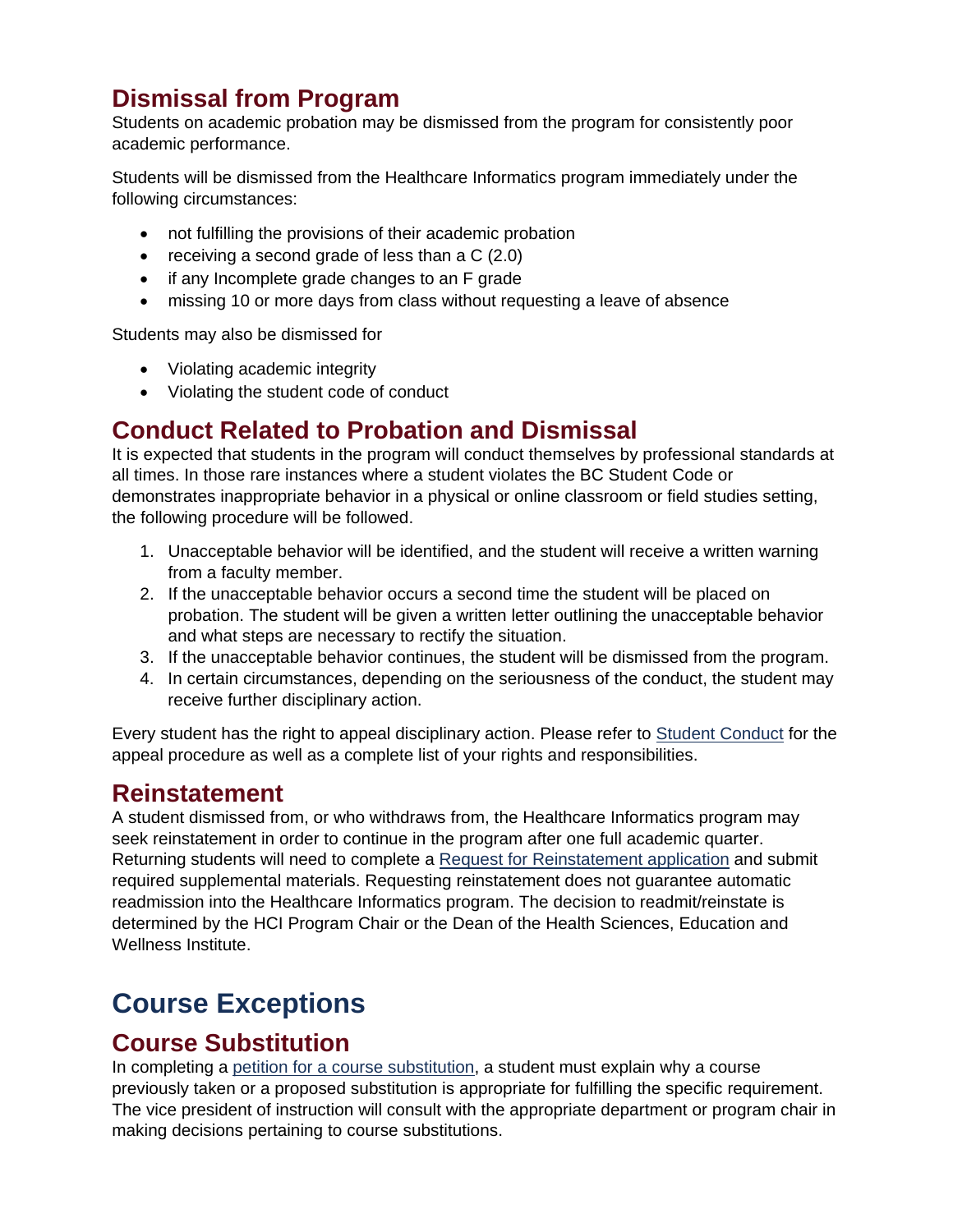### **Dismissal from Program**

Students on academic probation may be dismissed from the program for consistently poor academic performance.

Students will be dismissed from the Healthcare Informatics program immediately under the following circumstances:

- not fulfilling the provisions of their academic probation
- receiving a second grade of less than a C (2.0)
- if any Incomplete grade changes to an F grade
- missing 10 or more days from class without requesting a leave of absence

Students may also be dismissed for

- Violating academic integrity
- Violating the student code of conduct

#### **Conduct Related to Probation and Dismissal**

It is expected that students in the program will conduct themselves by professional standards at all times. In those rare instances where a student violates the BC Student Code or demonstrates inappropriate behavior in a physical or online classroom or field studies setting, the following procedure will be followed.

- 1. Unacceptable behavior will be identified, and the student will receive a written warning from a faculty member.
- 2. If the unacceptable behavior occurs a second time the student will be placed on probation. The student will be given a written letter outlining the unacceptable behavior and what steps are necessary to rectify the situation.
- 3. If the unacceptable behavior continues, the student will be dismissed from the program.
- 4. In certain circumstances, depending on the seriousness of the conduct, the student may receive further disciplinary action.

Every student has the right to appeal disciplinary action. Please refer to [Student Conduct](https://www.bellevuecollege.edu/studentconduct/appeal/) for the appeal procedure as well as a complete list of your rights and responsibilities.

#### **Reinstatement**

A student dismissed from, or who withdraws from, the Healthcare Informatics program may seek reinstatement in order to continue in the program after one full academic quarter. Returning students will need to complete a [Request for Reinstatement application](https://forms.bellevuecollege.edu/hci/hci-reinstatement-application/) and submit required supplemental materials. Requesting reinstatement does not guarantee automatic readmission into the Healthcare Informatics program. The decision to readmit/reinstate is determined by the HCI Program Chair or the Dean of the Health Sciences, Education and Wellness Institute.

# <span id="page-19-0"></span>**Course Exceptions**

#### **Course Substitution**

In completing a [petition for a course substitution,](http://www.bellevuecollege.edu/policies/id-3150p/) a student must explain why a course previously taken or a proposed substitution is appropriate for fulfilling the specific requirement. The vice president of instruction will consult with the appropriate department or program chair in making decisions pertaining to course substitutions.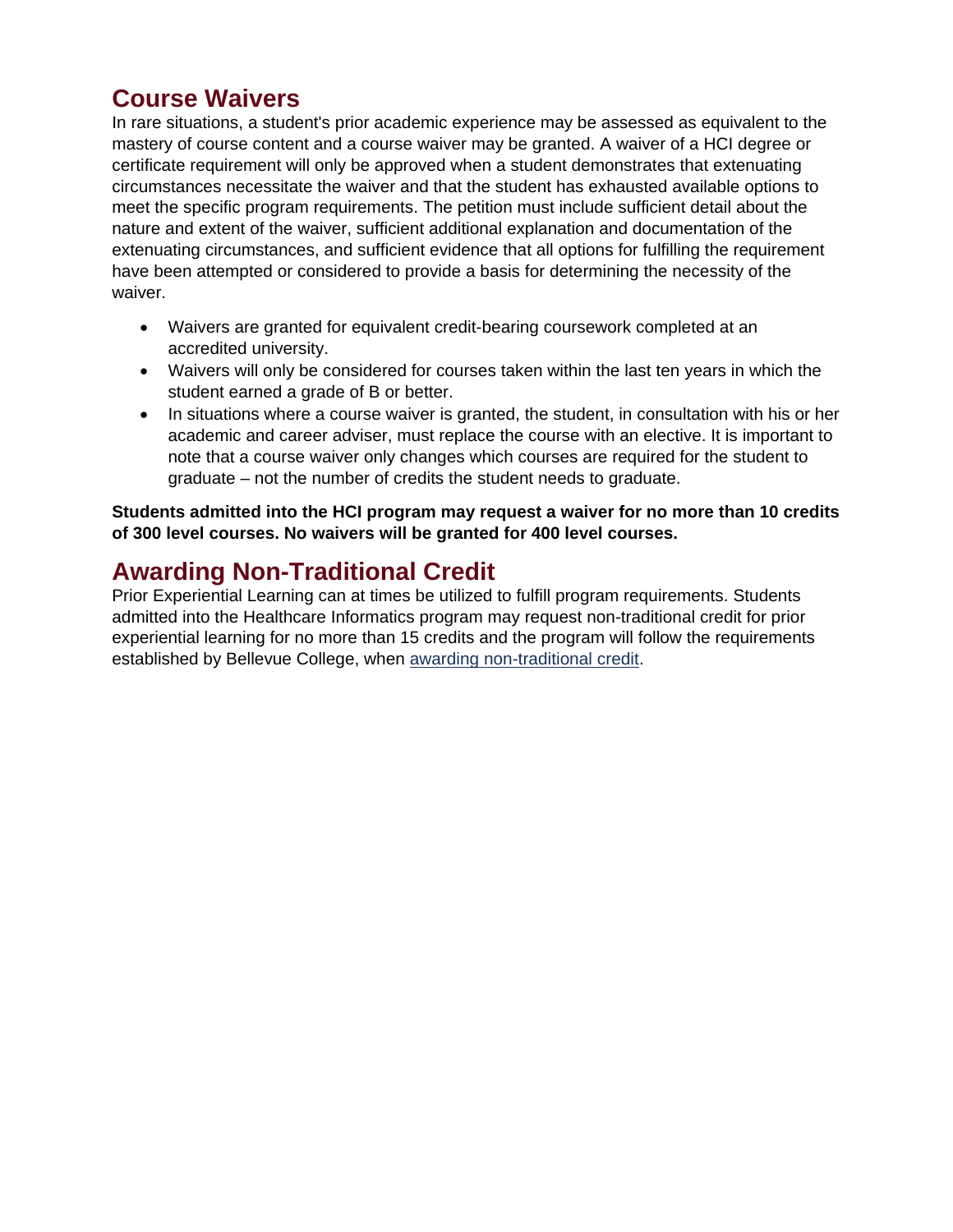#### **Course Waivers**

In rare situations, a student's prior academic experience may be assessed as equivalent to the mastery of course content and a course waiver may be granted. A waiver of a HCI degree or certificate requirement will only be approved when a student demonstrates that extenuating circumstances necessitate the waiver and that the student has exhausted available options to meet the specific program requirements. The petition must include sufficient detail about the nature and extent of the waiver, sufficient additional explanation and documentation of the extenuating circumstances, and sufficient evidence that all options for fulfilling the requirement have been attempted or considered to provide a basis for determining the necessity of the waiver.

- Waivers are granted for equivalent credit-bearing coursework completed at an accredited university.
- Waivers will only be considered for courses taken within the last ten years in which the student earned a grade of B or better.
- In situations where a course waiver is granted, the student, in consultation with his or her academic and career adviser, must replace the course with an elective. It is important to note that a course waiver only changes which courses are required for the student to graduate – not the number of credits the student needs to graduate.

**Students admitted into the HCI program may request a waiver for no more than 10 credits of 300 level courses. No waivers will be granted for 400 level courses.**

### **Awarding Non-Traditional Credit**

Prior Experiential Learning can at times be utilized to fulfill program requirements. Students admitted into the Healthcare Informatics program may request non-traditional credit for prior experiential learning for no more than 15 credits and the program will follow the requirements established by Bellevue College, when [awarding non-traditional credit.](http://www.bellevuecollege.edu/transfer/awarding-non-traditional-credit/)